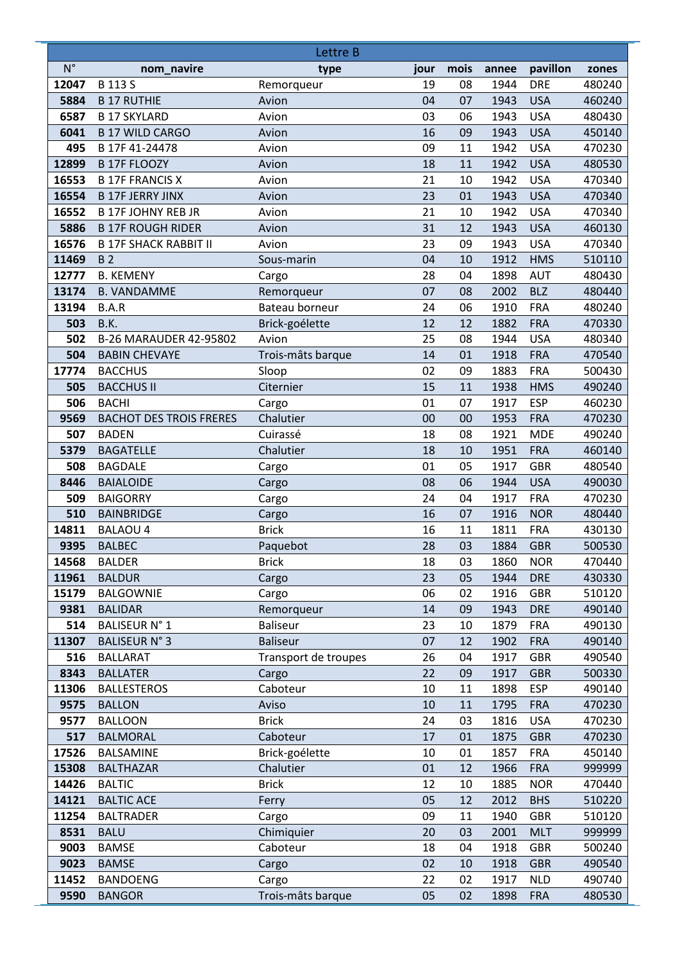|             |                                | Lettre B             |          |      |       |            |        |
|-------------|--------------------------------|----------------------|----------|------|-------|------------|--------|
| $N^{\circ}$ | nom_navire                     | type                 | jour     | mois | annee | pavillon   | zones  |
| 12047       | <b>B113S</b>                   | Remorqueur           | 19       | 08   | 1944  | <b>DRE</b> | 480240 |
| 5884        | <b>B 17 RUTHIE</b>             | Avion                | 04       | 07   | 1943  | <b>USA</b> | 460240 |
| 6587        | <b>B 17 SKYLARD</b>            | Avion                | 03       | 06   | 1943  | <b>USA</b> | 480430 |
| 6041        | <b>B 17 WILD CARGO</b>         | Avion                | 16       | 09   | 1943  | <b>USA</b> | 450140 |
| 495         | B 17F 41-24478                 | Avion                | 09       | 11   | 1942  | <b>USA</b> | 470230 |
| 12899       | <b>B 17F FLOOZY</b>            | Avion                | 18       | 11   | 1942  | <b>USA</b> | 480530 |
| 16553       | <b>B 17F FRANCIS X</b>         | Avion                | 21       | 10   | 1942  | <b>USA</b> | 470340 |
| 16554       | <b>B 17F JERRY JINX</b>        | Avion                | 23       | 01   | 1943  | <b>USA</b> | 470340 |
| 16552       | <b>B 17F JOHNY REB JR</b>      | Avion                | 21       | 10   | 1942  | <b>USA</b> | 470340 |
| 5886        | <b>B 17F ROUGH RIDER</b>       | Avion                | 31       | 12   | 1943  | <b>USA</b> | 460130 |
| 16576       | <b>B 17F SHACK RABBIT II</b>   | Avion                | 23       | 09   | 1943  | <b>USA</b> | 470340 |
| 11469       | <b>B2</b>                      | Sous-marin           | 04       | 10   | 1912  | <b>HMS</b> | 510110 |
| 12777       | <b>B. KEMENY</b>               | Cargo                | 28       | 04   | 1898  | <b>AUT</b> | 480430 |
| 13174       | <b>B. VANDAMME</b>             | Remorqueur           | 07       | 08   | 2002  | <b>BLZ</b> | 480440 |
| 13194       | B.A.R                          | Bateau borneur       | 24       | 06   | 1910  | <b>FRA</b> | 480240 |
| 503         | B.K.                           | Brick-goélette       | 12       | 12   | 1882  | <b>FRA</b> | 470330 |
| 502         | B-26 MARAUDER 42-95802         | Avion                | 25       | 08   | 1944  | <b>USA</b> | 480340 |
| 504         | <b>BABIN CHEVAYE</b>           | Trois-mâts barque    | 14       | 01   | 1918  | <b>FRA</b> | 470540 |
| 17774       | <b>BACCHUS</b>                 | Sloop                | 02       | 09   | 1883  | <b>FRA</b> | 500430 |
| 505         | <b>BACCHUS II</b>              | Citernier            | 15       | 11   | 1938  | <b>HMS</b> | 490240 |
| 506         | <b>BACHI</b>                   | Cargo                | 01       | 07   | 1917  | <b>ESP</b> | 460230 |
| 9569        | <b>BACHOT DES TROIS FRERES</b> | Chalutier            | 00       | 00   | 1953  | <b>FRA</b> | 470230 |
| 507         | <b>BADEN</b>                   | Cuirassé             | 18       | 08   | 1921  | <b>MDE</b> | 490240 |
| 5379        | <b>BAGATELLE</b>               | Chalutier            | 18       | 10   | 1951  | <b>FRA</b> | 460140 |
| 508         | <b>BAGDALE</b>                 | Cargo                | 01       | 05   | 1917  | <b>GBR</b> | 480540 |
| 8446        | <b>BAIALOIDE</b>               | Cargo                | 08       | 06   | 1944  | <b>USA</b> | 490030 |
| 509         | <b>BAIGORRY</b>                | Cargo                | 24       | 04   | 1917  | <b>FRA</b> | 470230 |
| 510         | <b>BAINBRIDGE</b>              | Cargo                | 16       | 07   | 1916  | <b>NOR</b> | 480440 |
| 14811       | <b>BALAOU 4</b>                | <b>Brick</b>         | 16       | 11   | 1811  | <b>FRA</b> | 430130 |
| 9395        | <b>BALBEC</b>                  | Paquebot             | 28       | 03   | 1884  | <b>GBR</b> | 500530 |
| 14568       | <b>BALDER</b>                  | <b>Brick</b>         | 18       | 03   | 1860  | <b>NOR</b> | 470440 |
| 11961       | <b>BALDUR</b>                  | Cargo                | 23       | 05   | 1944  | <b>DRE</b> | 430330 |
| 15179       | <b>BALGOWNIE</b>               | Cargo                | 06       | 02   | 1916  | GBR        | 510120 |
| 9381        | <b>BALIDAR</b>                 | Remorqueur           | 14       | 09   | 1943  | <b>DRE</b> | 490140 |
| 514         | <b>BALISEUR N°1</b>            | Baliseur             | 23       | 10   | 1879  | <b>FRA</b> | 490130 |
| 11307       | <b>BALISEUR N° 3</b>           | <b>Baliseur</b>      | 07       | 12   | 1902  | <b>FRA</b> | 490140 |
| 516         | <b>BALLARAT</b>                | Transport de troupes | 26       | 04   | 1917  | <b>GBR</b> | 490540 |
| 8343        | <b>BALLATER</b>                | Cargo                | 22       | 09   | 1917  | <b>GBR</b> | 500330 |
| 11306       | <b>BALLESTEROS</b>             | Caboteur             | 10       | 11   | 1898  | <b>ESP</b> | 490140 |
| 9575        | <b>BALLON</b>                  | Aviso                | 10       | 11   | 1795  | <b>FRA</b> | 470230 |
| 9577        | <b>BALLOON</b>                 | <b>Brick</b>         | 24       | 03   | 1816  | <b>USA</b> | 470230 |
| 517         | <b>BALMORAL</b>                | Caboteur             | 17       | 01   | 1875  | <b>GBR</b> | 470230 |
| 17526       | <b>BALSAMINE</b>               | Brick-goélette       | 10       | 01   | 1857  | <b>FRA</b> | 450140 |
| 15308       | <b>BALTHAZAR</b>               | Chalutier            | 01       | 12   | 1966  | <b>FRA</b> | 999999 |
| 14426       | <b>BALTIC</b>                  | <b>Brick</b>         | 12       | 10   | 1885  | <b>NOR</b> | 470440 |
| 14121       | <b>BALTIC ACE</b>              | Ferry                | 05       | 12   | 2012  | <b>BHS</b> | 510220 |
| 11254       | <b>BALTRADER</b>               | Cargo                | 09       | 11   | 1940  | <b>GBR</b> | 510120 |
| 8531        | <b>BALU</b>                    | Chimiquier           | 20<br>18 | 03   | 2001  | <b>MLT</b> | 999999 |
| 9003        | <b>BAMSE</b>                   | Caboteur             |          | 04   | 1918  | <b>GBR</b> | 500240 |
| 9023        | <b>BAMSE</b>                   | Cargo                | 02       | 10   | 1918  | <b>GBR</b> | 490540 |
| 11452       | <b>BANDOENG</b>                | Cargo                | 22       | 02   | 1917  | <b>NLD</b> | 490740 |
| 9590        | <b>BANGOR</b>                  | Trois-mâts barque    | 05       | 02   | 1898  | <b>FRA</b> | 480530 |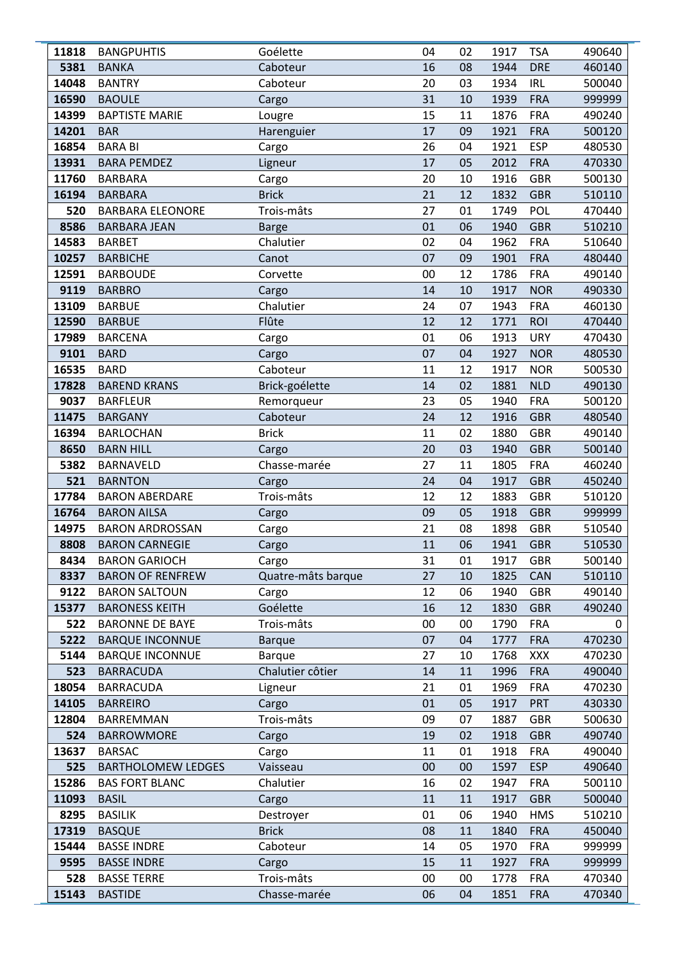| 11818       | <b>BANGPUHTIS</b>                                | Goélette                          | 04       | 02       | 1917         | <b>TSA</b>        | 490640           |
|-------------|--------------------------------------------------|-----------------------------------|----------|----------|--------------|-------------------|------------------|
| 5381        | <b>BANKA</b>                                     | Caboteur                          | 16       | 08       | 1944         | <b>DRE</b>        | 460140           |
| 14048       | <b>BANTRY</b>                                    | Caboteur                          | 20       | 03       | 1934         | <b>IRL</b>        | 500040           |
| 16590       | <b>BAOULE</b>                                    | Cargo                             | 31       | 10       | 1939         | <b>FRA</b>        | 999999           |
| 14399       | <b>BAPTISTE MARIE</b>                            | Lougre                            | 15       | 11       | 1876         | <b>FRA</b>        | 490240           |
| 14201       | <b>BAR</b>                                       | Harenguier                        | 17       | 09       | 1921         | <b>FRA</b>        | 500120           |
| 16854       | <b>BARA BI</b>                                   | Cargo                             | 26       | 04       | 1921         | <b>ESP</b>        | 480530           |
| 13931       | <b>BARA PEMDEZ</b>                               | Ligneur                           | 17       | 05       | 2012         | <b>FRA</b>        | 470330           |
| 11760       | <b>BARBARA</b>                                   | Cargo                             | 20       | 10       | 1916         | <b>GBR</b>        | 500130           |
| 16194       | <b>BARBARA</b>                                   | <b>Brick</b>                      | 21       | 12       | 1832         | <b>GBR</b>        | 510110           |
| 520         | <b>BARBARA ELEONORE</b>                          | Trois-mâts                        | 27       | 01       | 1749         | <b>POL</b>        | 470440           |
| 8586        | <b>BARBARA JEAN</b>                              | <b>Barge</b>                      | 01       | 06       | 1940         | <b>GBR</b>        | 510210           |
| 14583       | <b>BARBET</b>                                    | Chalutier                         | 02       | 04       | 1962         | <b>FRA</b>        | 510640           |
| 10257       | <b>BARBICHE</b>                                  | Canot                             | 07       | 09       | 1901         | <b>FRA</b>        | 480440           |
| 12591       | <b>BARBOUDE</b>                                  | Corvette                          | 00       | 12       | 1786         | <b>FRA</b>        | 490140           |
| 9119        | <b>BARBRO</b>                                    | Cargo                             | 14       | 10       | 1917         | <b>NOR</b>        | 490330           |
| 13109       | <b>BARBUE</b>                                    | Chalutier                         | 24       | 07       | 1943         | <b>FRA</b>        | 460130           |
| 12590       | <b>BARBUE</b>                                    | Flûte                             | 12       | 12       | 1771         | <b>ROI</b>        | 470440           |
| 17989       | <b>BARCENA</b>                                   | Cargo                             | 01       | 06       | 1913         | <b>URY</b>        | 470430           |
| 9101        | <b>BARD</b>                                      | Cargo                             | 07       | 04       | 1927         | <b>NOR</b>        | 480530           |
| 16535       | <b>BARD</b>                                      | Caboteur                          | 11       | 12       | 1917         | <b>NOR</b>        | 500530           |
| 17828       | <b>BAREND KRANS</b>                              | Brick-goélette                    | 14       | 02       | 1881         | <b>NLD</b>        | 490130           |
| 9037        | <b>BARFLEUR</b>                                  | Remorqueur                        | 23       | 05       | 1940         | <b>FRA</b>        | 500120           |
| 11475       | <b>BARGANY</b>                                   | Caboteur                          | 24       | 12       | 1916         | <b>GBR</b>        | 480540           |
| 16394       | <b>BARLOCHAN</b>                                 | <b>Brick</b>                      | 11       | 02       | 1880         | <b>GBR</b>        | 490140           |
| 8650        | <b>BARN HILL</b>                                 | Cargo                             | 20       | 03       | 1940         | <b>GBR</b>        | 500140           |
| 5382        | <b>BARNAVELD</b>                                 | Chasse-marée                      | 27       | 11       | 1805         | <b>FRA</b>        | 460240           |
| 521         | <b>BARNTON</b>                                   | Cargo                             | 24       | 04       | 1917         | <b>GBR</b>        | 450240           |
| 17784       | <b>BARON ABERDARE</b>                            | Trois-mâts                        | 12       | 12       | 1883         | <b>GBR</b>        | 510120           |
| 16764       | <b>BARON AILSA</b>                               | Cargo                             | 09       | 05       | 1918         | <b>GBR</b>        | 999999           |
| 14975       | <b>BARON ARDROSSAN</b>                           | Cargo                             | 21       | 08       | 1898         | <b>GBR</b>        | 510540           |
| 8808        | <b>BARON CARNEGIE</b>                            | Cargo                             | 11       | 06       | 1941         | <b>GBR</b>        | 510530           |
| 8434        | <b>BARON GARIOCH</b>                             | Cargo                             | 31       | 01       | 1917         | <b>GBR</b>        | 500140           |
| 8337        | <b>BARON OF RENFREW</b>                          | Quatre-mâts barque                | 27       | 10       | 1825         | CAN               | 510110           |
| 9122        | <b>BARON SALTOUN</b>                             | Cargo                             | 12       | 06       | 1940         | <b>GBR</b>        | 490140           |
| 15377       | <b>BARONESS KEITH</b>                            | Goélette                          | 16       | 12       | 1830         | <b>GBR</b>        | 490240           |
| 522<br>5222 | <b>BARONNE DE BAYE</b>                           | Trois-mâts                        | 00<br>07 | 00       | 1790         | <b>FRA</b>        | 0                |
| 5144        | <b>BARQUE INCONNUE</b><br><b>BARQUE INCONNUE</b> | <b>Barque</b>                     | 27       | 04<br>10 | 1777<br>1768 | <b>FRA</b><br>XXX | 470230<br>470230 |
| 523         | <b>BARRACUDA</b>                                 | <b>Barque</b><br>Chalutier côtier | 14       | 11       | 1996         | <b>FRA</b>        | 490040           |
| 18054       | <b>BARRACUDA</b>                                 | Ligneur                           | 21       | 01       | 1969         | <b>FRA</b>        | 470230           |
| 14105       | <b>BARREIRO</b>                                  | Cargo                             | 01       | 05       | 1917         | <b>PRT</b>        | 430330           |
| 12804       | BARREMMAN                                        | Trois-mâts                        | 09       | 07       | 1887         | <b>GBR</b>        | 500630           |
| 524         | <b>BARROWMORE</b>                                | Cargo                             | 19       | 02       | 1918         | <b>GBR</b>        | 490740           |
| 13637       | <b>BARSAC</b>                                    | Cargo                             | 11       | 01       | 1918         | <b>FRA</b>        | 490040           |
| 525         | <b>BARTHOLOMEW LEDGES</b>                        | Vaisseau                          | 00       | 00       | 1597         | <b>ESP</b>        | 490640           |
| 15286       | <b>BAS FORT BLANC</b>                            | Chalutier                         | 16       | 02       | 1947         | <b>FRA</b>        | 500110           |
| 11093       | <b>BASIL</b>                                     | Cargo                             | 11       | 11       | 1917         | <b>GBR</b>        | 500040           |
| 8295        | <b>BASILIK</b>                                   | Destroyer                         | 01       | 06       | 1940         | <b>HMS</b>        | 510210           |
| 17319       | <b>BASQUE</b>                                    | <b>Brick</b>                      | 08       | 11       | 1840         | <b>FRA</b>        | 450040           |
| 15444       | <b>BASSE INDRE</b>                               | Caboteur                          | 14       | 05       | 1970         | <b>FRA</b>        | 999999           |
| 9595        | <b>BASSE INDRE</b>                               | Cargo                             | 15       | 11       | 1927         | <b>FRA</b>        | 999999           |
| 528         | <b>BASSE TERRE</b>                               | Trois-mâts                        | 00       | 00       | 1778         | <b>FRA</b>        | 470340           |
| 15143       | <b>BASTIDE</b>                                   | Chasse-marée                      | 06       | 04       | 1851         | <b>FRA</b>        | 470340           |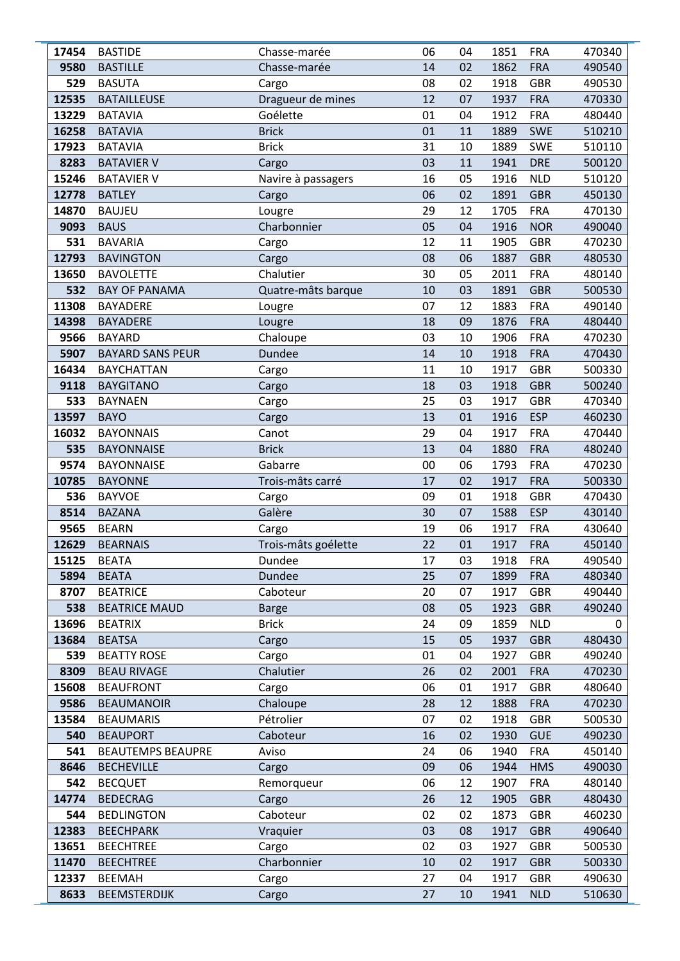| 17454      | <b>BASTIDE</b>                              | Chasse-marée        | 06       | 04       | 1851         | <b>FRA</b>               | 470340           |
|------------|---------------------------------------------|---------------------|----------|----------|--------------|--------------------------|------------------|
| 9580       | <b>BASTILLE</b>                             | Chasse-marée        | 14       | 02       | 1862         | <b>FRA</b>               | 490540           |
| 529        | <b>BASUTA</b>                               | Cargo               | 08       | 02       | 1918         | <b>GBR</b>               | 490530           |
| 12535      | <b>BATAILLEUSE</b>                          | Dragueur de mines   | 12       | 07       | 1937         | <b>FRA</b>               | 470330           |
| 13229      | <b>BATAVIA</b>                              | Goélette            | 01       | 04       | 1912         | <b>FRA</b>               | 480440           |
| 16258      | <b>BATAVIA</b>                              | <b>Brick</b>        | 01       | 11       | 1889         | <b>SWE</b>               | 510210           |
| 17923      | <b>BATAVIA</b>                              | <b>Brick</b>        | 31       | 10       | 1889         | <b>SWE</b>               | 510110           |
| 8283       | <b>BATAVIER V</b>                           | Cargo               | 03       | 11       | 1941         | <b>DRE</b>               | 500120           |
| 15246      | <b>BATAVIER V</b>                           | Navire à passagers  | 16       | 05       | 1916         | <b>NLD</b>               | 510120           |
| 12778      | <b>BATLEY</b>                               | Cargo               | 06       | 02       | 1891         | <b>GBR</b>               | 450130           |
| 14870      | <b>BAUJEU</b>                               | Lougre              | 29       | 12       | 1705         | <b>FRA</b>               | 470130           |
| 9093       | <b>BAUS</b>                                 | Charbonnier         | 05       | 04       | 1916         | <b>NOR</b>               | 490040           |
| 531        | <b>BAVARIA</b>                              | Cargo               | 12       | 11       | 1905         | <b>GBR</b>               | 470230           |
| 12793      | <b>BAVINGTON</b>                            | Cargo               | 08       | 06       | 1887         | <b>GBR</b>               | 480530           |
| 13650      | <b>BAVOLETTE</b>                            | Chalutier           | 30       | 05       | 2011         | <b>FRA</b>               | 480140           |
| 532        | <b>BAY OF PANAMA</b>                        | Quatre-mâts barque  | 10       | 03       | 1891         | <b>GBR</b>               | 500530           |
| 11308      | <b>BAYADERE</b>                             | Lougre              | 07       | 12       | 1883         | <b>FRA</b>               | 490140           |
| 14398      | <b>BAYADERE</b>                             | Lougre              | 18       | 09       | 1876         | <b>FRA</b>               | 480440           |
| 9566       | <b>BAYARD</b>                               | Chaloupe            | 03       | 10       | 1906         | <b>FRA</b>               | 470230           |
| 5907       | <b>BAYARD SANS PEUR</b>                     | Dundee              | 14       | 10       | 1918         | <b>FRA</b>               | 470430           |
| 16434      | <b>BAYCHATTAN</b>                           | Cargo               | 11       | 10       | 1917         | <b>GBR</b>               | 500330           |
| 9118       | <b>BAYGITANO</b>                            | Cargo               | 18       | 03       | 1918         | <b>GBR</b>               | 500240           |
| 533        | <b>BAYNAEN</b>                              | Cargo               | 25       | 03       | 1917         | <b>GBR</b>               | 470340           |
| 13597      | <b>BAYO</b>                                 | Cargo               | 13       | 01       | 1916         | <b>ESP</b>               | 460230           |
| 16032      | <b>BAYONNAIS</b>                            | Canot               | 29       | 04       | 1917         | <b>FRA</b>               | 470440           |
| 535        | <b>BAYONNAISE</b>                           | <b>Brick</b>        | 13       | 04       | 1880         | <b>FRA</b>               | 480240           |
| 9574       | <b>BAYONNAISE</b>                           | Gabarre             | 00       | 06       | 1793         | <b>FRA</b>               | 470230           |
| 10785      | <b>BAYONNE</b>                              | Trois-mâts carré    | 17       | 02       | 1917         | <b>FRA</b>               | 500330           |
| 536        | <b>BAYVOE</b>                               | Cargo               | 09       | 01       | 1918         | <b>GBR</b>               | 470430           |
| 8514       | <b>BAZANA</b>                               | Galère              | 30       | 07       | 1588         | <b>ESP</b>               | 430140           |
| 9565       | <b>BEARN</b>                                | Cargo               | 19       | 06       | 1917         | <b>FRA</b>               | 430640           |
| 12629      | <b>BEARNAIS</b>                             | Trois-mâts goélette | 22       | 01       | 1917         | <b>FRA</b>               | 450140           |
| 15125      | <b>BEATA</b>                                | Dundee              | 17       | 03       | 1918         | <b>FRA</b>               | 490540           |
| 5894       | <b>BEATA</b>                                | Dundee              | 25       | 07       | 1899         | <b>FRA</b>               | 480340           |
| 8707       | <b>BEATRICE</b>                             | Caboteur            | 20       | 07       | 1917         | <b>GBR</b>               | 490440           |
| 538        | <b>BEATRICE MAUD</b>                        | <b>Barge</b>        | 08       | 05       | 1923         | <b>GBR</b>               | 490240           |
| 13696      | <b>BEATRIX</b>                              | <b>Brick</b>        | 24       | 09       | 1859         | <b>NLD</b>               | 0                |
| 13684      | <b>BEATSA</b>                               | Cargo               | 15       | 05       | 1937         | <b>GBR</b>               | 480430           |
| 539        | <b>BEATTY ROSE</b>                          | Cargo               | 01       | 04       | 1927         | <b>GBR</b>               | 490240           |
| 8309       | <b>BEAU RIVAGE</b>                          | Chalutier           | 26       | 02       | 2001         | <b>FRA</b>               | 470230           |
| 15608      | <b>BEAUFRONT</b>                            | Cargo               | 06       | 01       | 1917         | <b>GBR</b>               | 480640           |
| 9586       | <b>BEAUMANOIR</b>                           | Chaloupe            | 28       | 12       | 1888         | <b>FRA</b>               | 470230           |
| 13584      | <b>BEAUMARIS</b>                            | Pétrolier           | 07<br>16 | 02       | 1918         | <b>GBR</b>               | 500530           |
| 540<br>541 | <b>BEAUPORT</b><br><b>BEAUTEMPS BEAUPRE</b> | Caboteur<br>Aviso   | 24       | 02<br>06 | 1930<br>1940 | <b>GUE</b><br><b>FRA</b> | 490230<br>450140 |
| 8646       | <b>BECHEVILLE</b>                           |                     | 09       | 06       | 1944         | <b>HMS</b>               | 490030           |
| 542        | <b>BECQUET</b>                              | Cargo               | 06       | 12       | 1907         | <b>FRA</b>               | 480140           |
| 14774      | <b>BEDECRAG</b>                             | Remorqueur<br>Cargo | 26       | 12       | 1905         | <b>GBR</b>               | 480430           |
| 544        | <b>BEDLINGTON</b>                           | Caboteur            | 02       | 02       | 1873         | <b>GBR</b>               | 460230           |
| 12383      | <b>BEECHPARK</b>                            | Vraquier            | 03       | 08       | 1917         | <b>GBR</b>               | 490640           |
| 13651      | <b>BEECHTREE</b>                            | Cargo               | 02       | 03       | 1927         | <b>GBR</b>               | 500530           |
| 11470      | <b>BEECHTREE</b>                            | Charbonnier         | 10       | 02       | 1917         | <b>GBR</b>               | 500330           |
| 12337      | <b>BEEMAH</b>                               | Cargo               | 27       | 04       | 1917         | <b>GBR</b>               | 490630           |
| 8633       | <b>BEEMSTERDIJK</b>                         | Cargo               | 27       | 10       | 1941         | <b>NLD</b>               | 510630           |
|            |                                             |                     |          |          |              |                          |                  |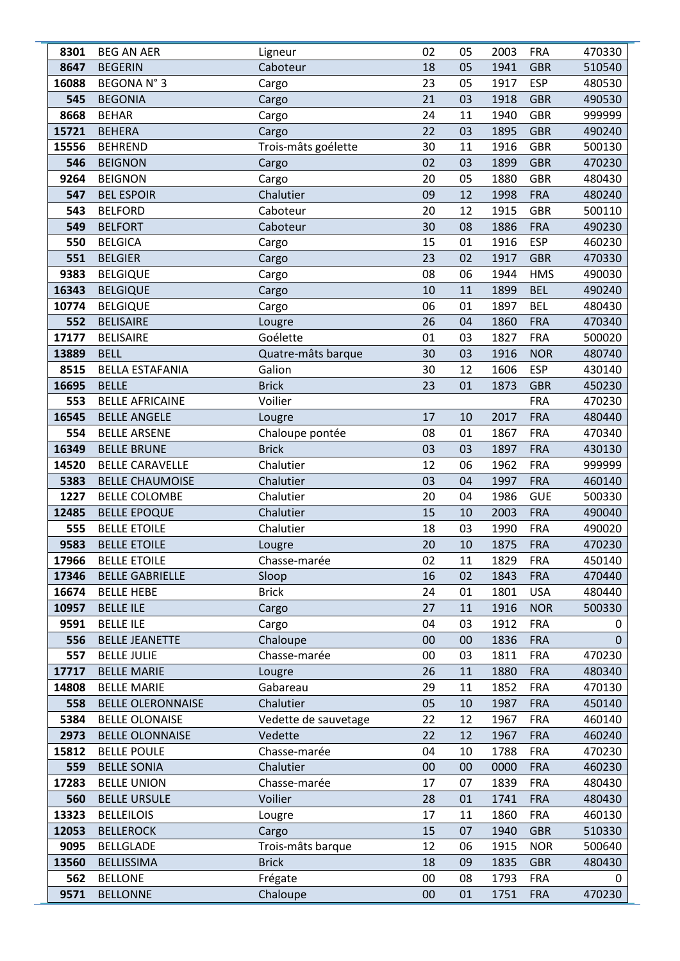| 8301  | <b>BEG AN AER</b>        | Ligneur              | 02 | 05 | 2003 | <b>FRA</b> | 470330       |
|-------|--------------------------|----------------------|----|----|------|------------|--------------|
| 8647  | <b>BEGERIN</b>           | Caboteur             | 18 | 05 | 1941 | <b>GBR</b> | 510540       |
| 16088 | <b>BEGONAN°3</b>         | Cargo                | 23 | 05 | 1917 | <b>ESP</b> | 480530       |
| 545   | <b>BEGONIA</b>           | Cargo                | 21 | 03 | 1918 | <b>GBR</b> | 490530       |
| 8668  | <b>BEHAR</b>             | Cargo                | 24 | 11 | 1940 | <b>GBR</b> | 999999       |
| 15721 | <b>BEHERA</b>            | Cargo                | 22 | 03 | 1895 | <b>GBR</b> | 490240       |
| 15556 | <b>BEHREND</b>           | Trois-mâts goélette  | 30 | 11 | 1916 | <b>GBR</b> | 500130       |
| 546   | <b>BEIGNON</b>           | Cargo                | 02 | 03 | 1899 | <b>GBR</b> | 470230       |
| 9264  | <b>BEIGNON</b>           | Cargo                | 20 | 05 | 1880 | <b>GBR</b> | 480430       |
| 547   | <b>BEL ESPOIR</b>        | Chalutier            | 09 | 12 | 1998 | <b>FRA</b> | 480240       |
| 543   | <b>BELFORD</b>           | Caboteur             | 20 | 12 | 1915 | <b>GBR</b> | 500110       |
| 549   | <b>BELFORT</b>           | Caboteur             | 30 | 08 | 1886 | <b>FRA</b> | 490230       |
| 550   | <b>BELGICA</b>           | Cargo                | 15 | 01 | 1916 | <b>ESP</b> | 460230       |
| 551   | <b>BELGIER</b>           | Cargo                | 23 | 02 | 1917 | <b>GBR</b> | 470330       |
| 9383  | <b>BELGIQUE</b>          | Cargo                | 08 | 06 | 1944 | <b>HMS</b> | 490030       |
| 16343 | <b>BELGIQUE</b>          | Cargo                | 10 | 11 | 1899 | <b>BEL</b> | 490240       |
| 10774 | <b>BELGIQUE</b>          | Cargo                | 06 | 01 | 1897 | <b>BEL</b> | 480430       |
| 552   | <b>BELISAIRE</b>         | Lougre               | 26 | 04 | 1860 | <b>FRA</b> | 470340       |
| 17177 | <b>BELISAIRE</b>         | Goélette             | 01 | 03 | 1827 | <b>FRA</b> | 500020       |
| 13889 | <b>BELL</b>              | Quatre-mâts barque   | 30 | 03 | 1916 | <b>NOR</b> | 480740       |
| 8515  | <b>BELLA ESTAFANIA</b>   | Galion               | 30 | 12 | 1606 | <b>ESP</b> | 430140       |
| 16695 | <b>BELLE</b>             | <b>Brick</b>         | 23 | 01 | 1873 | <b>GBR</b> | 450230       |
| 553   | <b>BELLE AFRICAINE</b>   | Voilier              |    |    |      | <b>FRA</b> | 470230       |
| 16545 | <b>BELLE ANGELE</b>      | Lougre               | 17 | 10 | 2017 | <b>FRA</b> | 480440       |
| 554   | <b>BELLE ARSENE</b>      | Chaloupe pontée      | 08 | 01 | 1867 | <b>FRA</b> | 470340       |
| 16349 | <b>BELLE BRUNE</b>       | <b>Brick</b>         | 03 | 03 | 1897 | <b>FRA</b> | 430130       |
| 14520 | <b>BELLE CARAVELLE</b>   | Chalutier            | 12 | 06 | 1962 | <b>FRA</b> | 999999       |
| 5383  | <b>BELLE CHAUMOISE</b>   | Chalutier            | 03 | 04 | 1997 | <b>FRA</b> | 460140       |
| 1227  | <b>BELLE COLOMBE</b>     | Chalutier            | 20 | 04 | 1986 | <b>GUE</b> | 500330       |
| 12485 | <b>BELLE EPOQUE</b>      | Chalutier            | 15 | 10 | 2003 | <b>FRA</b> | 490040       |
| 555   | <b>BELLE ETOILE</b>      | Chalutier            | 18 | 03 | 1990 | <b>FRA</b> | 490020       |
| 9583  | <b>BELLE ETOILE</b>      | Lougre               | 20 | 10 | 1875 | <b>FRA</b> | 470230       |
| 17966 | <b>BELLE ETOILE</b>      | Chasse-marée         | 02 | 11 | 1829 | <b>FRA</b> | 450140       |
| 17346 | <b>BELLE GABRIELLE</b>   | Sloop                | 16 | 02 | 1843 | <b>FRA</b> | 470440       |
| 16674 | <b>BELLE HEBE</b>        | <b>Brick</b>         | 24 | 01 | 1801 | <b>USA</b> | 480440       |
| 10957 | <b>BELLE ILE</b>         | Cargo                | 27 | 11 | 1916 | <b>NOR</b> | 500330       |
| 9591  | <b>BELLE ILE</b>         | Cargo                | 04 | 03 | 1912 | <b>FRA</b> | 0            |
| 556   | <b>BELLE JEANETTE</b>    | Chaloupe             | 00 | 00 | 1836 | <b>FRA</b> | $\mathbf{0}$ |
| 557   | <b>BELLE JULIE</b>       | Chasse-marée         | 00 | 03 | 1811 | <b>FRA</b> | 470230       |
| 17717 | <b>BELLE MARIE</b>       | Lougre               | 26 | 11 | 1880 | <b>FRA</b> | 480340       |
| 14808 | <b>BELLE MARIE</b>       | Gabareau             | 29 | 11 | 1852 | <b>FRA</b> | 470130       |
| 558   | <b>BELLE OLERONNAISE</b> | Chalutier            | 05 | 10 | 1987 | <b>FRA</b> | 450140       |
| 5384  | <b>BELLE OLONAISE</b>    | Vedette de sauvetage | 22 | 12 | 1967 | <b>FRA</b> | 460140       |
| 2973  | <b>BELLE OLONNAISE</b>   | Vedette              | 22 | 12 | 1967 | <b>FRA</b> | 460240       |
| 15812 | <b>BELLE POULE</b>       | Chasse-marée         | 04 | 10 | 1788 | <b>FRA</b> | 470230       |
| 559   | <b>BELLE SONIA</b>       | Chalutier            | 00 | 00 | 0000 | <b>FRA</b> | 460230       |
| 17283 | <b>BELLE UNION</b>       | Chasse-marée         | 17 | 07 | 1839 | <b>FRA</b> | 480430       |
| 560   | <b>BELLE URSULE</b>      | Voilier              | 28 | 01 | 1741 | <b>FRA</b> | 480430       |
| 13323 | <b>BELLEILOIS</b>        | Lougre               | 17 | 11 | 1860 | <b>FRA</b> | 460130       |
| 12053 | <b>BELLEROCK</b>         | Cargo                | 15 | 07 | 1940 | <b>GBR</b> | 510330       |
| 9095  | <b>BELLGLADE</b>         | Trois-mâts barque    | 12 | 06 | 1915 | <b>NOR</b> | 500640       |
| 13560 | <b>BELLISSIMA</b>        | <b>Brick</b>         | 18 | 09 | 1835 | <b>GBR</b> | 480430       |
| 562   | <b>BELLONE</b>           | Frégate              | 00 | 08 | 1793 | <b>FRA</b> | 0            |
| 9571  | <b>BELLONNE</b>          | Chaloupe             | 00 | 01 | 1751 | <b>FRA</b> | 470230       |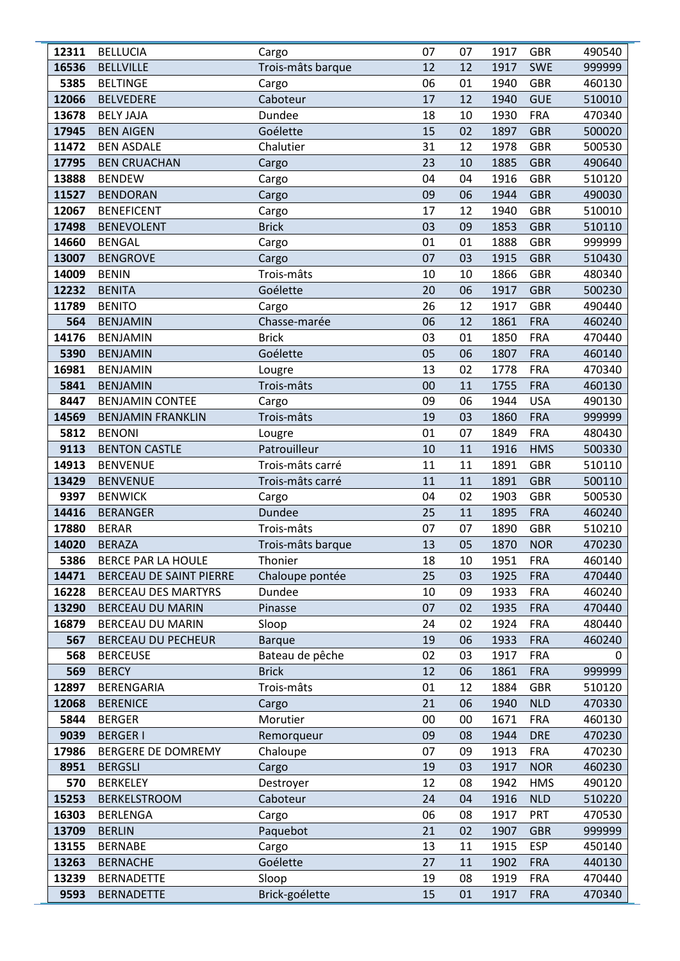| 12311        | <b>BELLUCIA</b>                              | Cargo                            | 07       | 07       | 1917         | <b>GBR</b>               | 490540           |
|--------------|----------------------------------------------|----------------------------------|----------|----------|--------------|--------------------------|------------------|
| 16536        | <b>BELLVILLE</b>                             | Trois-mâts barque                | 12       | 12       | 1917         | <b>SWE</b>               | 999999           |
| 5385         | <b>BELTINGE</b>                              | Cargo                            | 06       | 01       | 1940         | <b>GBR</b>               | 460130           |
| 12066        | <b>BELVEDERE</b>                             | Caboteur                         | 17       | 12       | 1940         | <b>GUE</b>               | 510010           |
| 13678        | <b>BELY JAJA</b>                             | Dundee                           | 18       | 10       | 1930         | <b>FRA</b>               | 470340           |
| 17945        | <b>BEN AIGEN</b>                             | Goélette                         | 15       | 02       | 1897         | <b>GBR</b>               | 500020           |
| 11472        | <b>BEN ASDALE</b>                            | Chalutier                        | 31       | 12       | 1978         | <b>GBR</b>               | 500530           |
| 17795        | <b>BEN CRUACHAN</b>                          | Cargo                            | 23       | 10       | 1885         | <b>GBR</b>               | 490640           |
| 13888        | <b>BENDEW</b>                                | Cargo                            | 04       | 04       | 1916         | <b>GBR</b>               | 510120           |
| 11527        | <b>BENDORAN</b>                              | Cargo                            | 09       | 06       | 1944         | <b>GBR</b>               | 490030           |
| 12067        | <b>BENEFICENT</b>                            | Cargo                            | 17       | 12       | 1940         | <b>GBR</b>               | 510010           |
| 17498        | <b>BENEVOLENT</b>                            | <b>Brick</b>                     | 03       | 09       | 1853         | <b>GBR</b>               | 510110           |
| 14660        | <b>BENGAL</b>                                | Cargo                            | 01       | 01       | 1888         | <b>GBR</b>               | 999999           |
| 13007        | <b>BENGROVE</b>                              | Cargo                            | 07       | 03       | 1915         | <b>GBR</b>               | 510430           |
| 14009        | <b>BENIN</b>                                 | Trois-mâts                       | 10       | 10       | 1866         | <b>GBR</b>               | 480340           |
| 12232        | <b>BENITA</b>                                | Goélette                         | 20       | 06       | 1917         | <b>GBR</b>               | 500230           |
| 11789        | <b>BENITO</b>                                | Cargo                            | 26       | 12       | 1917         | <b>GBR</b>               | 490440           |
| 564          | <b>BENJAMIN</b>                              | Chasse-marée                     | 06       | 12       | 1861         | <b>FRA</b>               | 460240           |
| 14176        | <b>BENJAMIN</b>                              | <b>Brick</b>                     | 03       | 01       | 1850         | <b>FRA</b>               | 470440           |
| 5390         | <b>BENJAMIN</b>                              | Goélette                         | 05       | 06       | 1807         | <b>FRA</b>               | 460140           |
| 16981        | <b>BENJAMIN</b>                              | Lougre                           | 13       | 02       | 1778         | <b>FRA</b>               | 470340           |
| 5841         | <b>BENJAMIN</b>                              | Trois-mâts                       | 00       | 11       | 1755         | <b>FRA</b>               | 460130           |
| 8447         | <b>BENJAMIN CONTEE</b>                       | Cargo                            | 09       | 06       | 1944         | <b>USA</b>               | 490130           |
| 14569        | <b>BENJAMIN FRANKLIN</b>                     | Trois-mâts                       | 19       | 03       | 1860         | <b>FRA</b>               | 999999           |
| 5812         | <b>BENONI</b>                                | Lougre                           | 01       | 07       | 1849         | <b>FRA</b>               | 480430           |
| 9113         | <b>BENTON CASTLE</b>                         | Patrouilleur                     | 10       | 11       | 1916         | <b>HMS</b>               | 500330           |
| 14913        | <b>BENVENUE</b>                              | Trois-mâts carré                 | 11       | 11       | 1891         | <b>GBR</b>               | 510110           |
| 13429        | <b>BENVENUE</b>                              | Trois-mâts carré                 | 11       | 11       | 1891         | <b>GBR</b>               | 500110           |
| 9397         | <b>BENWICK</b>                               | Cargo                            | 04       | 02       | 1903         | <b>GBR</b>               | 500530           |
| 14416        | <b>BERANGER</b>                              | Dundee                           | 25       | 11       | 1895         | <b>FRA</b>               | 460240           |
| 17880        | <b>BERAR</b>                                 | Trois-mâts                       | 07       | 07       | 1890         | <b>GBR</b>               | 510210           |
| 14020        | <b>BERAZA</b>                                | Trois-mâts barque                | 13       | 05       | 1870         | <b>NOR</b>               | 470230           |
| 5386         | BERCE PAR LA HOULE                           | Thonier                          | 18       | 10       | 1951         | <b>FRA</b>               | 460140           |
| 14471        | BERCEAU DE SAINT PIERRE                      | Chaloupe pontée                  | 25       | 03       | 1925         | <b>FRA</b>               | 470440           |
| 16228        | <b>BERCEAU DES MARTYRS</b>                   | Dundee                           | 10       | 09       | 1933         | <b>FRA</b>               | 460240           |
| 13290        | <b>BERCEAU DU MARIN</b>                      | Pinasse                          | 07       | 02       | 1935         | <b>FRA</b>               | 470440           |
| 16879<br>567 | BERCEAU DU MARIN                             | Sloop                            | 24<br>19 | 02       | 1924         | <b>FRA</b>               | 480440<br>460240 |
| 568          | <b>BERCEAU DU PECHEUR</b><br><b>BERCEUSE</b> | <b>Barque</b><br>Bateau de pêche | 02       | 06<br>03 | 1933<br>1917 | <b>FRA</b><br><b>FRA</b> | 0                |
| 569          | <b>BERCY</b>                                 | <b>Brick</b>                     | 12       | 06       | 1861         | <b>FRA</b>               | 999999           |
| 12897        | BERENGARIA                                   | Trois-mâts                       | 01       | 12       | 1884         | <b>GBR</b>               | 510120           |
| 12068        | <b>BERENICE</b>                              | Cargo                            | 21       | 06       | 1940         | <b>NLD</b>               | 470330           |
| 5844         | <b>BERGER</b>                                | Morutier                         | 00       | 00       | 1671         | <b>FRA</b>               | 460130           |
| 9039         | <b>BERGER I</b>                              | Remorqueur                       | 09       | 08       | 1944         | <b>DRE</b>               | 470230           |
| 17986        | BERGERE DE DOMREMY                           | Chaloupe                         | 07       | 09       | 1913         | <b>FRA</b>               | 470230           |
| 8951         | <b>BERGSLI</b>                               | Cargo                            | 19       | 03       | 1917         | <b>NOR</b>               | 460230           |
| 570          | <b>BERKELEY</b>                              | Destroyer                        | 12       | 08       | 1942         | <b>HMS</b>               | 490120           |
| 15253        | <b>BERKELSTROOM</b>                          | Caboteur                         | 24       | 04       | 1916         | <b>NLD</b>               | 510220           |
| 16303        | <b>BERLENGA</b>                              | Cargo                            | 06       | 08       | 1917         | PRT                      | 470530           |
| 13709        | <b>BERLIN</b>                                | Paquebot                         | 21       | 02       | 1907         | <b>GBR</b>               | 999999           |
| 13155        | <b>BERNABE</b>                               | Cargo                            | 13       | 11       | 1915         | <b>ESP</b>               | 450140           |
| 13263        | <b>BERNACHE</b>                              | Goélette                         | 27       | 11       | 1902         | <b>FRA</b>               | 440130           |
| 13239        | <b>BERNADETTE</b>                            | Sloop                            | 19       | 08       | 1919         | <b>FRA</b>               | 470440           |
| 9593         | <b>BERNADETTE</b>                            | Brick-goélette                   | 15       | 01       | 1917         | <b>FRA</b>               | 470340           |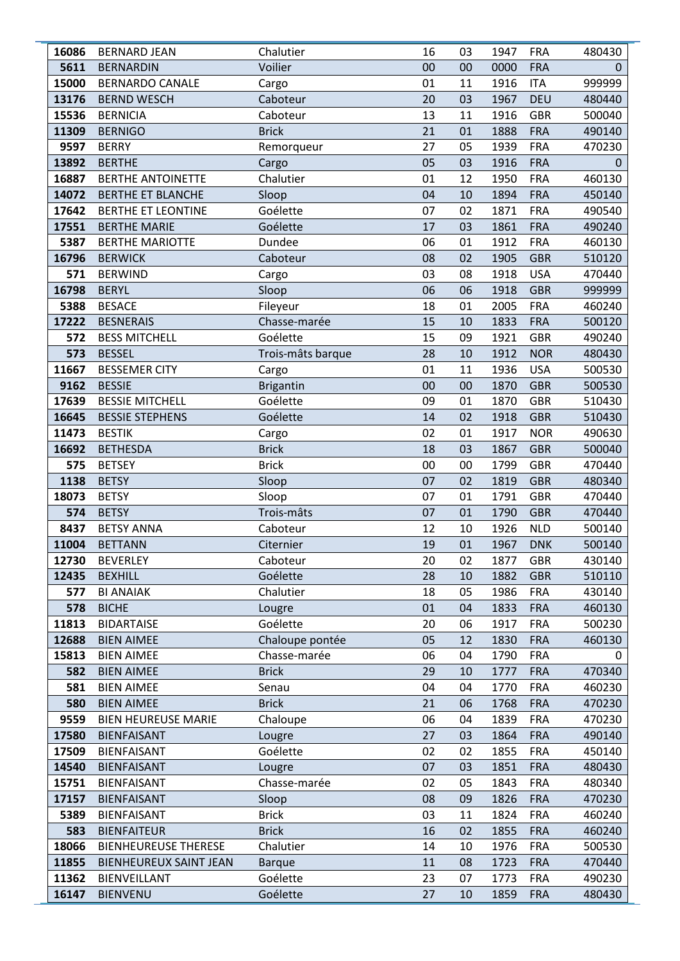| 16086       | <b>BERNARD JEAN</b>                             | Chalutier                | 16       | 03       | 1947         | <b>FRA</b>               | 480430           |
|-------------|-------------------------------------------------|--------------------------|----------|----------|--------------|--------------------------|------------------|
| 5611        | <b>BERNARDIN</b>                                | Voilier                  | 00       | 00       | 0000         | <b>FRA</b>               | $\Omega$         |
| 15000       | <b>BERNARDO CANALE</b>                          | Cargo                    | 01       | 11       | 1916         | <b>ITA</b>               | 999999           |
| 13176       | <b>BERND WESCH</b>                              | Caboteur                 | 20       | 03       | 1967         | <b>DEU</b>               | 480440           |
| 15536       | <b>BERNICIA</b>                                 | Caboteur                 | 13       | 11       | 1916         | <b>GBR</b>               | 500040           |
| 11309       | <b>BERNIGO</b>                                  | <b>Brick</b>             | 21       | 01       | 1888         | <b>FRA</b>               | 490140           |
| 9597        | <b>BERRY</b>                                    | Remorqueur               | 27       | 05       | 1939         | <b>FRA</b>               | 470230           |
| 13892       | <b>BERTHE</b>                                   | Cargo                    | 05       | 03       | 1916         | <b>FRA</b>               | 0                |
| 16887       | <b>BERTHE ANTOINETTE</b>                        | Chalutier                | 01       | 12       | 1950         | <b>FRA</b>               | 460130           |
| 14072       | BERTHE ET BLANCHE                               | Sloop                    | 04       | 10       | 1894         | <b>FRA</b>               | 450140           |
| 17642       | <b>BERTHE ET LEONTINE</b>                       | Goélette                 | 07       | 02       | 1871         | <b>FRA</b>               | 490540           |
| 17551       | <b>BERTHE MARIE</b>                             | Goélette                 | 17       | 03       | 1861         | <b>FRA</b>               | 490240           |
| 5387        | <b>BERTHE MARIOTTE</b>                          | Dundee                   | 06       | 01       | 1912         | <b>FRA</b>               | 460130           |
| 16796       | <b>BERWICK</b>                                  | Caboteur                 | 08       | 02       | 1905         | <b>GBR</b>               | 510120           |
| 571         | <b>BERWIND</b>                                  | Cargo                    | 03       | 08       | 1918         | <b>USA</b>               | 470440           |
| 16798       | <b>BERYL</b>                                    | Sloop                    | 06       | 06       | 1918         | <b>GBR</b>               | 999999           |
| 5388        | <b>BESACE</b>                                   | Fileyeur                 | 18       | 01       | 2005         | <b>FRA</b>               | 460240           |
| 17222       | <b>BESNERAIS</b>                                | Chasse-marée             | 15       | 10       | 1833         | <b>FRA</b>               | 500120           |
| 572         | <b>BESS MITCHELL</b>                            | Goélette                 | 15       | 09       | 1921         | <b>GBR</b>               | 490240           |
| 573         | <b>BESSEL</b>                                   | Trois-mâts barque        | 28       | 10       | 1912         | <b>NOR</b>               | 480430           |
| 11667       | <b>BESSEMER CITY</b>                            | Cargo                    | 01       | 11       | 1936         | <b>USA</b>               | 500530           |
| 9162        | <b>BESSIE</b>                                   | <b>Brigantin</b>         | 00       | 00       | 1870         | <b>GBR</b>               | 500530           |
| 17639       | <b>BESSIE MITCHELL</b>                          | Goélette                 | 09       | 01       | 1870         | <b>GBR</b>               | 510430           |
| 16645       | <b>BESSIE STEPHENS</b>                          | Goélette                 | 14       | 02       | 1918         | <b>GBR</b>               | 510430           |
| 11473       | <b>BESTIK</b>                                   | Cargo                    | 02       | 01       | 1917         | <b>NOR</b>               | 490630           |
| 16692       | <b>BETHESDA</b>                                 | <b>Brick</b>             | 18       | 03       | 1867         | <b>GBR</b>               | 500040           |
| 575         | <b>BETSEY</b>                                   | <b>Brick</b>             | 00       | 00       | 1799         | <b>GBR</b>               | 470440           |
| 1138        | <b>BETSY</b>                                    | Sloop                    | 07       | 02       | 1819         | <b>GBR</b>               | 480340           |
| 18073       | <b>BETSY</b>                                    | Sloop                    | 07       | 01       | 1791         | <b>GBR</b>               | 470440           |
| 574         | <b>BETSY</b>                                    | Trois-mâts               | 07       | 01       | 1790         | <b>GBR</b>               | 470440           |
| 8437        | <b>BETSY ANNA</b>                               | Caboteur                 | 12       | 10       | 1926         | <b>NLD</b>               | 500140           |
| 11004       | <b>BETTANN</b>                                  | Citernier                | 19       | 01       | 1967         | <b>DNK</b>               | 500140           |
| 12730       | <b>BEVERLEY</b>                                 | Caboteur                 | 20       | 02       | 1877         | <b>GBR</b>               | 430140           |
| 12435       | <b>BEXHILL</b>                                  | Goélette                 | 28       | 10       | 1882         | <b>GBR</b>               | 510110           |
| 577         | <b>BI ANAIAK</b>                                | Chalutier                | 18       | 05       | 1986         | <b>FRA</b>               | 430140           |
| 578         | <b>BICHE</b>                                    | Lougre                   | 01       | 04       | 1833         | <b>FRA</b>               | 460130           |
| 11813       | <b>BIDARTAISE</b>                               | Goélette                 | 20       | 06       | 1917         | <b>FRA</b>               | 500230           |
| 12688       | <b>BIEN AIMEE</b>                               | Chaloupe pontée          | 05       | 12       | 1830         | <b>FRA</b>               | 460130           |
| 15813       | <b>BIEN AIMEE</b>                               | Chasse-marée             | 06       | 04       | 1790         | <b>FRA</b>               | 0                |
| 582         | <b>BIEN AIMEE</b>                               | <b>Brick</b>             | 29       | 10       | 1777         | <b>FRA</b>               | 470340           |
| 581         | <b>BIEN AIMEE</b>                               | Senau                    | 04       | 04       | 1770         | <b>FRA</b>               | 460230           |
| 580<br>9559 | <b>BIEN AIMEE</b><br><b>BIEN HEUREUSE MARIE</b> | <b>Brick</b><br>Chaloupe | 21<br>06 | 06<br>04 | 1768<br>1839 | <b>FRA</b><br><b>FRA</b> | 470230<br>470230 |
| 17580       | <b>BIENFAISANT</b>                              |                          | 27       | 03       | 1864         | <b>FRA</b>               | 490140           |
| 17509       | <b>BIENFAISANT</b>                              | Lougre<br>Goélette       | 02       | 02       | 1855         | <b>FRA</b>               | 450140           |
| 14540       | <b>BIENFAISANT</b>                              |                          | 07       | 03       | 1851         | <b>FRA</b>               |                  |
| 15751       | <b>BIENFAISANT</b>                              | Lougre<br>Chasse-marée   | 02       | 05       | 1843         | <b>FRA</b>               | 480430<br>480340 |
| 17157       |                                                 |                          | 08       | 09       |              | <b>FRA</b>               |                  |
| 5389        | <b>BIENFAISANT</b><br><b>BIENFAISANT</b>        | Sloop<br><b>Brick</b>    | 03       | 11       | 1826<br>1824 | <b>FRA</b>               | 470230<br>460240 |
| 583         | <b>BIENFAITEUR</b>                              | <b>Brick</b>             | 16       | 02       | 1855         | <b>FRA</b>               | 460240           |
| 18066       | <b>BIENHEUREUSE THERESE</b>                     | Chalutier                | 14       | 10       | 1976         | <b>FRA</b>               | 500530           |
| 11855       | BIENHEUREUX SAINT JEAN                          | <b>Barque</b>            | 11       | 08       | 1723         | <b>FRA</b>               | 470440           |
| 11362       | <b>BIENVEILLANT</b>                             | Goélette                 | 23       | 07       | 1773         | <b>FRA</b>               | 490230           |
| 16147       | <b>BIENVENU</b>                                 | Goélette                 | 27       | 10       | 1859         | <b>FRA</b>               | 480430           |
|             |                                                 |                          |          |          |              |                          |                  |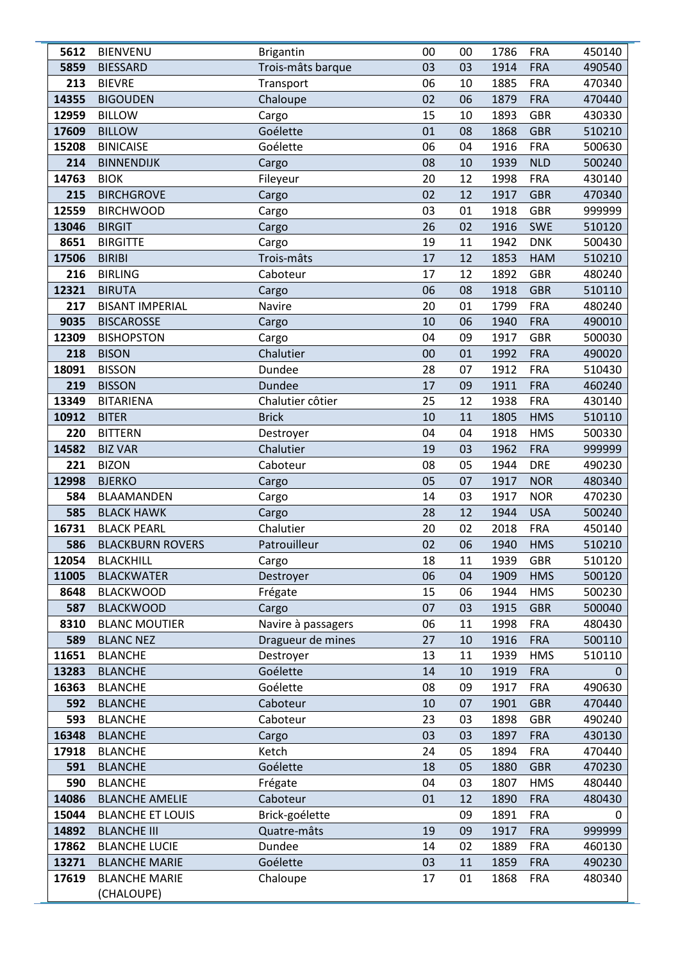| 5612       | <b>BIENVENU</b>                  | <b>Brigantin</b>   | 00       | 00       | 1786         | <b>FRA</b>               | 450140           |
|------------|----------------------------------|--------------------|----------|----------|--------------|--------------------------|------------------|
| 5859       | <b>BIESSARD</b>                  | Trois-mâts barque  | 03       | 03       | 1914         | <b>FRA</b>               | 490540           |
| 213        | <b>BIEVRE</b>                    | Transport          | 06       | 10       | 1885         | <b>FRA</b>               | 470340           |
| 14355      | <b>BIGOUDEN</b>                  | Chaloupe           | 02       | 06       | 1879         | <b>FRA</b>               | 470440           |
| 12959      | <b>BILLOW</b>                    | Cargo              | 15       | 10       | 1893         | <b>GBR</b>               | 430330           |
| 17609      | <b>BILLOW</b>                    | Goélette           | 01       | 08       | 1868         | <b>GBR</b>               | 510210           |
| 15208      | <b>BINICAISE</b>                 | Goélette           | 06       | 04       | 1916         | <b>FRA</b>               | 500630           |
| 214        | <b>BINNENDIJK</b>                | Cargo              | 08       | 10       | 1939         | <b>NLD</b>               | 500240           |
| 14763      | <b>BIOK</b>                      | Fileyeur           | 20       | 12       | 1998         | <b>FRA</b>               | 430140           |
| 215        | <b>BIRCHGROVE</b>                | Cargo              | 02       | 12       | 1917         | <b>GBR</b>               | 470340           |
| 12559      | <b>BIRCHWOOD</b>                 | Cargo              | 03       | 01       | 1918         | <b>GBR</b>               | 999999           |
| 13046      | <b>BIRGIT</b>                    | Cargo              | 26       | 02       | 1916         | <b>SWE</b>               | 510120           |
| 8651       | <b>BIRGITTE</b>                  | Cargo              | 19       | 11       | 1942         | <b>DNK</b>               | 500430           |
| 17506      | <b>BIRIBI</b>                    | Trois-mâts         | 17       | 12       | 1853         | <b>HAM</b>               | 510210           |
| 216        | <b>BIRLING</b>                   | Caboteur           | 17       | 12       | 1892         | <b>GBR</b>               | 480240           |
| 12321      | <b>BIRUTA</b>                    | Cargo              | 06       | 08       | 1918         | <b>GBR</b>               | 510110           |
| 217        | <b>BISANT IMPERIAL</b>           | Navire             | 20       | 01       | 1799         | <b>FRA</b>               | 480240           |
| 9035       | <b>BISCAROSSE</b>                | Cargo              | 10       | 06       | 1940         | <b>FRA</b>               | 490010           |
| 12309      | <b>BISHOPSTON</b>                | Cargo              | 04       | 09       | 1917         | <b>GBR</b>               | 500030           |
| 218        | <b>BISON</b>                     | Chalutier          | 00       | 01       | 1992         | <b>FRA</b>               | 490020           |
| 18091      | <b>BISSON</b>                    | Dundee             | 28       | 07       | 1912         | <b>FRA</b>               | 510430           |
| 219        | <b>BISSON</b>                    | Dundee             | 17       | 09       | 1911         | <b>FRA</b>               | 460240           |
| 13349      | <b>BITARIENA</b>                 | Chalutier côtier   | 25       | 12       | 1938         | <b>FRA</b>               | 430140           |
| 10912      | <b>BITER</b>                     | <b>Brick</b>       | 10       | 11       | 1805         | <b>HMS</b>               | 510110           |
| 220        | <b>BITTERN</b>                   | Destroyer          | 04       | 04       | 1918         | <b>HMS</b>               | 500330           |
| 14582      | <b>BIZ VAR</b>                   | Chalutier          | 19       | 03       | 1962         | <b>FRA</b>               | 999999           |
| 221        | <b>BIZON</b>                     | Caboteur           | 08       | 05       | 1944         | <b>DRE</b>               | 490230           |
| 12998      | <b>BJERKO</b>                    | Cargo              | 05       | 07       | 1917         | <b>NOR</b>               | 480340           |
| 584        | BLAAMANDEN                       | Cargo              | 14       | 03       | 1917         | <b>NOR</b>               | 470230           |
| 585        | <b>BLACK HAWK</b>                | Cargo              | 28       | 12       | 1944         | <b>USA</b>               | 500240           |
| 16731      | <b>BLACK PEARL</b>               | Chalutier          | 20       | 02       | 2018         | <b>FRA</b>               | 450140           |
| 586        | <b>BLACKBURN ROVERS</b>          | Patrouilleur       | 02       | 06       | 1940         | <b>HMS</b>               | 510210           |
| 12054      | <b>BLACKHILL</b>                 | Cargo              | 18       | 11       | 1939         | <b>GBR</b>               | 510120           |
| 11005      | <b>BLACKWATER</b>                | Destroyer          | 06       | 04       | 1909         | <b>HMS</b>               | 500120           |
| 8648       | <b>BLACKWOOD</b>                 | Frégate            | 15       | 06       | 1944         | <b>HMS</b>               | 500230           |
| 587        | <b>BLACKWOOD</b>                 | Cargo              | 07       | 03       | 1915         | <b>GBR</b>               | 500040           |
| 8310       | <b>BLANC MOUTIER</b>             | Navire à passagers | 06       | 11       | 1998         | <b>FRA</b>               | 480430           |
| 589        | <b>BLANC NEZ</b>                 | Dragueur de mines  | 27       | 10       | 1916         | <b>FRA</b>               | 500110           |
| 11651      | <b>BLANCHE</b>                   | Destroyer          | 13       | 11       | 1939         | <b>HMS</b>               | 510110           |
| 13283      | <b>BLANCHE</b>                   | Goélette           | 14       | 10       | 1919         | <b>FRA</b>               | 0                |
| 16363      | <b>BLANCHE</b>                   | Goélette           | 08       | 09       | 1917         | <b>FRA</b>               | 490630           |
| 592<br>593 | <b>BLANCHE</b>                   | Caboteur           | 10<br>23 | 07       | 1901         | <b>GBR</b>               | 470440           |
| 16348      | <b>BLANCHE</b><br><b>BLANCHE</b> | Caboteur           | 03       | 03<br>03 | 1898<br>1897 | <b>GBR</b><br><b>FRA</b> | 490240<br>430130 |
| 17918      | <b>BLANCHE</b>                   | Cargo<br>Ketch     | 24       | 05       | 1894         | <b>FRA</b>               | 470440           |
| 591        | <b>BLANCHE</b>                   | Goélette           | 18       | 05       | 1880         | <b>GBR</b>               | 470230           |
| 590        | <b>BLANCHE</b>                   | Frégate            | 04       | 03       | 1807         | <b>HMS</b>               | 480440           |
| 14086      | <b>BLANCHE AMELIE</b>            | Caboteur           | 01       | 12       | 1890         | <b>FRA</b>               | 480430           |
| 15044      | <b>BLANCHE ET LOUIS</b>          | Brick-goélette     |          | 09       | 1891         | <b>FRA</b>               | 0                |
| 14892      | <b>BLANCHE III</b>               | Quatre-mâts        | 19       | 09       | 1917         | <b>FRA</b>               | 999999           |
| 17862      | <b>BLANCHE LUCIE</b>             | Dundee             | 14       | 02       | 1889         | <b>FRA</b>               | 460130           |
| 13271      | <b>BLANCHE MARIE</b>             | Goélette           | 03       | 11       | 1859         | <b>FRA</b>               | 490230           |
| 17619      | <b>BLANCHE MARIE</b>             | Chaloupe           | 17       | 01       | 1868         | <b>FRA</b>               | 480340           |
|            | (CHALOUPE)                       |                    |          |          |              |                          |                  |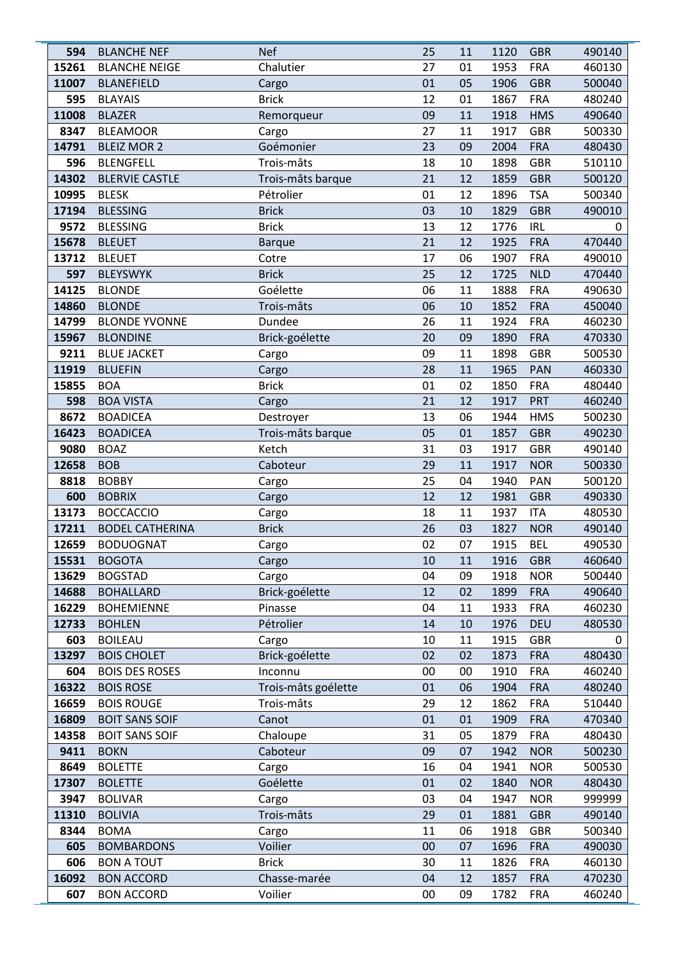| 594          | <b>BLANCHE NEF</b>                          | <b>Nef</b>                | 25       | 11       | 1120         | <b>GBR</b>               | 490140           |
|--------------|---------------------------------------------|---------------------------|----------|----------|--------------|--------------------------|------------------|
| 15261        | <b>BLANCHE NEIGE</b>                        | Chalutier                 | 27       | 01       | 1953         | <b>FRA</b>               | 460130           |
| 11007        | <b>BLANEFIELD</b>                           | Cargo                     | 01       | 05       | 1906         | <b>GBR</b>               | 500040           |
| 595          | <b>BLAYAIS</b>                              | <b>Brick</b>              | 12       | 01       | 1867         | <b>FRA</b>               | 480240           |
| 11008        | <b>BLAZER</b>                               | Remorqueur                | 09       | 11       | 1918         | <b>HMS</b>               | 490640           |
| 8347         | <b>BLEAMOOR</b>                             | Cargo                     | 27       | 11       | 1917         | <b>GBR</b>               | 500330           |
| 14791        | <b>BLEIZ MOR 2</b>                          | Goémonier                 | 23       | 09       | 2004         | <b>FRA</b>               | 480430           |
| 596          | <b>BLENGFELL</b>                            | Trois-mâts                | 18       | 10       | 1898         | <b>GBR</b>               | 510110           |
| 14302        | <b>BLERVIE CASTLE</b>                       | Trois-mâts barque         | 21       | 12       | 1859         | <b>GBR</b>               | 500120           |
| 10995        | <b>BLESK</b>                                | Pétrolier                 | 01       | 12       | 1896         | <b>TSA</b>               | 500340           |
| 17194        | <b>BLESSING</b>                             | <b>Brick</b>              | 03       | 10       | 1829         | <b>GBR</b>               | 490010           |
| 9572         | <b>BLESSING</b>                             | <b>Brick</b>              | 13       | 12       | 1776         | <b>IRL</b>               | 0                |
| 15678        | <b>BLEUET</b>                               | <b>Barque</b>             | 21       | 12       | 1925         | <b>FRA</b>               | 470440           |
| 13712        | <b>BLEUET</b>                               | Cotre                     | 17       | 06       | 1907         | <b>FRA</b>               | 490010           |
| 597          | <b>BLEYSWYK</b>                             | <b>Brick</b>              | 25       | 12       | 1725         | <b>NLD</b>               | 470440           |
| 14125        | <b>BLONDE</b>                               | Goélette                  | 06       | 11       | 1888         | <b>FRA</b>               | 490630           |
| 14860        | <b>BLONDE</b>                               | Trois-mâts                | 06       | 10       | 1852         | <b>FRA</b>               | 450040           |
| 14799        | <b>BLONDE YVONNE</b>                        | Dundee                    | 26       | 11       | 1924         | <b>FRA</b>               | 460230           |
| 15967        | <b>BLONDINE</b>                             | Brick-goélette            | 20       | 09       | 1890         | <b>FRA</b>               | 470330           |
| 9211         | <b>BLUE JACKET</b>                          | Cargo                     | 09       | 11       | 1898         | <b>GBR</b>               | 500530           |
| 11919        | <b>BLUEFIN</b>                              | Cargo                     | 28       | 11       | 1965         | PAN                      | 460330           |
| 15855        | <b>BOA</b>                                  | <b>Brick</b>              | 01       | 02       | 1850         | <b>FRA</b>               | 480440           |
| 598          | <b>BOA VISTA</b>                            | Cargo                     | 21       | 12       | 1917         | <b>PRT</b>               | 460240           |
| 8672         | <b>BOADICEA</b>                             | Destroyer                 | 13       | 06       | 1944         | <b>HMS</b>               | 500230           |
| 16423        | <b>BOADICEA</b>                             | Trois-mâts barque         | 05       | 01       | 1857         | <b>GBR</b>               | 490230           |
| 9080         | <b>BOAZ</b>                                 | Ketch                     | 31       | 03       | 1917         | <b>GBR</b>               | 490140           |
| 12658        | <b>BOB</b>                                  | Caboteur                  | 29       | 11       | 1917         | <b>NOR</b>               | 500330           |
| 8818         | <b>BOBBY</b>                                | Cargo                     | 25       | 04       | 1940         | PAN                      | 500120           |
| 600          | <b>BOBRIX</b>                               | Cargo                     | 12       | 12       | 1981         | <b>GBR</b>               | 490330           |
| 13173        | <b>BOCCACCIO</b>                            | Cargo                     | 18       | 11       | 1937         | <b>ITA</b>               | 480530           |
| 17211        | <b>BODEL CATHERINA</b>                      | <b>Brick</b>              | 26       | 03       | 1827         | <b>NOR</b>               | 490140           |
| 12659        | <b>BODUOGNAT</b>                            | Cargo                     | 02       | 07       | 1915         | <b>BEL</b>               | 490530           |
| 15531        | <b>BOGOTA</b>                               | Cargo                     | 10       | 11       | 1916         | <b>GBR</b>               | 460640           |
| 13629        | <b>BOGSTAD</b>                              | Cargo                     | 04       | 09       | 1918         | <b>NOR</b>               | 500440           |
| 14688        | <b>BOHALLARD</b>                            | Brick-goélette            | 12       | 02       | 1899         | <b>FRA</b>               | 490640           |
| 16229        | <b>BOHEMIENNE</b>                           | Pinasse                   | 04       | 11       | 1933         | <b>FRA</b>               | 460230           |
| 12733        | <b>BOHLEN</b>                               | Pétrolier                 | 14       | 10       | 1976         | <b>DEU</b>               | 480530           |
| 603          | <b>BOILEAU</b>                              | Cargo                     | 10<br>02 | 11       | 1915         | GBR                      | 0                |
| 13297<br>604 | <b>BOIS CHOLET</b><br><b>BOIS DES ROSES</b> | Brick-goélette<br>Inconnu | 00       | 02<br>00 | 1873<br>1910 | <b>FRA</b><br><b>FRA</b> | 480430<br>460240 |
| 16322        | <b>BOIS ROSE</b>                            | Trois-mâts goélette       | 01       | 06       | 1904         | <b>FRA</b>               | 480240           |
| 16659        | <b>BOIS ROUGE</b>                           | Trois-mâts                | 29       | 12       | 1862         | <b>FRA</b>               | 510440           |
| 16809        | <b>BOIT SANS SOIF</b>                       | Canot                     | 01       | 01       | 1909         | <b>FRA</b>               | 470340           |
| 14358        | <b>BOIT SANS SOIF</b>                       | Chaloupe                  | 31       | 05       | 1879         | <b>FRA</b>               | 480430           |
| 9411         | <b>BOKN</b>                                 | Caboteur                  | 09       | 07       | 1942         | <b>NOR</b>               | 500230           |
| 8649         | <b>BOLETTE</b>                              | Cargo                     | 16       | 04       | 1941         | <b>NOR</b>               | 500530           |
| 17307        | <b>BOLETTE</b>                              | Goélette                  | 01       | 02       | 1840         | <b>NOR</b>               | 480430           |
| 3947         | <b>BOLIVAR</b>                              | Cargo                     | 03       | 04       | 1947         | <b>NOR</b>               | 999999           |
| 11310        | <b>BOLIVIA</b>                              | Trois-mâts                | 29       | 01       | 1881         | <b>GBR</b>               | 490140           |
| 8344         | <b>BOMA</b>                                 | Cargo                     | 11       | 06       | 1918         | GBR                      | 500340           |
| 605          | <b>BOMBARDONS</b>                           | Voilier                   | 00       | 07       | 1696         | <b>FRA</b>               | 490030           |
| 606          | <b>BON A TOUT</b>                           | <b>Brick</b>              | 30       | 11       | 1826         | <b>FRA</b>               | 460130           |
| 16092        | <b>BON ACCORD</b>                           | Chasse-marée              | 04       | 12       | 1857         | <b>FRA</b>               | 470230           |
| 607          | <b>BON ACCORD</b>                           | Voilier                   | 00       | 09       | 1782         | <b>FRA</b>               | 460240           |
|              |                                             |                           |          |          |              |                          |                  |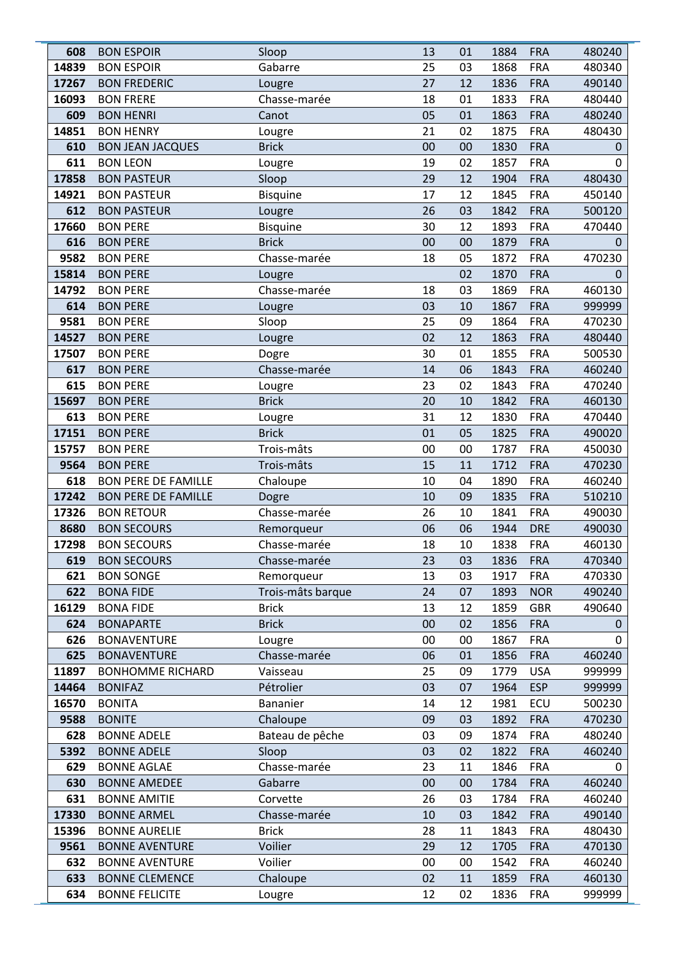| 608   | <b>BON ESPOIR</b>          | Sloop             | 13 | 01 | 1884 | <b>FRA</b> | 480240      |
|-------|----------------------------|-------------------|----|----|------|------------|-------------|
| 14839 | <b>BON ESPOIR</b>          | Gabarre           | 25 | 03 | 1868 | <b>FRA</b> | 480340      |
| 17267 | <b>BON FREDERIC</b>        | Lougre            | 27 | 12 | 1836 | <b>FRA</b> | 490140      |
| 16093 | <b>BON FRERE</b>           | Chasse-marée      | 18 | 01 | 1833 | <b>FRA</b> | 480440      |
| 609   | <b>BON HENRI</b>           | Canot             | 05 | 01 | 1863 | <b>FRA</b> | 480240      |
| 14851 | <b>BON HENRY</b>           | Lougre            | 21 | 02 | 1875 | <b>FRA</b> | 480430      |
| 610   | <b>BON JEAN JACQUES</b>    | <b>Brick</b>      | 00 | 00 | 1830 | <b>FRA</b> | 0           |
| 611   | <b>BON LEON</b>            | Lougre            | 19 | 02 | 1857 | <b>FRA</b> | 0           |
| 17858 | <b>BON PASTEUR</b>         | Sloop             | 29 | 12 | 1904 | <b>FRA</b> | 480430      |
| 14921 | <b>BON PASTEUR</b>         | <b>Bisquine</b>   | 17 | 12 | 1845 | <b>FRA</b> | 450140      |
| 612   | <b>BON PASTEUR</b>         | Lougre            | 26 | 03 | 1842 | <b>FRA</b> | 500120      |
| 17660 | <b>BON PERE</b>            | <b>Bisquine</b>   | 30 | 12 | 1893 | <b>FRA</b> | 470440      |
| 616   | <b>BON PERE</b>            | <b>Brick</b>      | 00 | 00 | 1879 | <b>FRA</b> | $\mathbf 0$ |
| 9582  | <b>BON PERE</b>            | Chasse-marée      | 18 | 05 | 1872 | <b>FRA</b> | 470230      |
| 15814 | <b>BON PERE</b>            | Lougre            |    | 02 | 1870 | <b>FRA</b> | $\mathbf 0$ |
| 14792 | <b>BON PERE</b>            | Chasse-marée      | 18 | 03 | 1869 | <b>FRA</b> | 460130      |
| 614   | <b>BON PERE</b>            | Lougre            | 03 | 10 | 1867 | <b>FRA</b> | 999999      |
| 9581  | <b>BON PERE</b>            | Sloop             | 25 | 09 | 1864 | <b>FRA</b> | 470230      |
| 14527 | <b>BON PERE</b>            | Lougre            | 02 | 12 | 1863 | <b>FRA</b> | 480440      |
| 17507 | <b>BON PERE</b>            | Dogre             | 30 | 01 | 1855 | <b>FRA</b> | 500530      |
| 617   | <b>BON PERE</b>            | Chasse-marée      | 14 | 06 | 1843 | <b>FRA</b> | 460240      |
| 615   | <b>BON PERE</b>            | Lougre            | 23 | 02 | 1843 | <b>FRA</b> | 470240      |
| 15697 | <b>BON PERE</b>            | <b>Brick</b>      | 20 | 10 | 1842 | <b>FRA</b> | 460130      |
| 613   | <b>BON PERE</b>            | Lougre            | 31 | 12 | 1830 | <b>FRA</b> | 470440      |
| 17151 | <b>BON PERE</b>            | <b>Brick</b>      | 01 | 05 | 1825 | <b>FRA</b> | 490020      |
| 15757 | <b>BON PERE</b>            | Trois-mâts        | 00 | 00 | 1787 | <b>FRA</b> | 450030      |
| 9564  | <b>BON PERE</b>            | Trois-mâts        | 15 | 11 | 1712 | <b>FRA</b> | 470230      |
| 618   | <b>BON PERE DE FAMILLE</b> | Chaloupe          | 10 | 04 | 1890 | <b>FRA</b> | 460240      |
| 17242 | <b>BON PERE DE FAMILLE</b> | Dogre             | 10 | 09 | 1835 | <b>FRA</b> | 510210      |
| 17326 | <b>BON RETOUR</b>          | Chasse-marée      | 26 | 10 | 1841 | <b>FRA</b> | 490030      |
| 8680  | <b>BON SECOURS</b>         | Remorqueur        | 06 | 06 | 1944 | <b>DRE</b> | 490030      |
| 17298 | <b>BON SECOURS</b>         | Chasse-marée      | 18 | 10 | 1838 | <b>FRA</b> | 460130      |
| 619   | <b>BON SECOURS</b>         | Chasse-marée      | 23 | 03 | 1836 | <b>FRA</b> | 470340      |
| 621   | <b>BON SONGE</b>           | Remorqueur        | 13 | 03 | 1917 | <b>FRA</b> | 470330      |
| 622   | <b>BONA FIDE</b>           | Trois-mâts barque | 24 | 07 | 1893 | <b>NOR</b> | 490240      |
| 16129 | <b>BONA FIDE</b>           | <b>Brick</b>      | 13 | 12 | 1859 | <b>GBR</b> | 490640      |
| 624   | <b>BONAPARTE</b>           | <b>Brick</b>      | 00 | 02 | 1856 | <b>FRA</b> | 0           |
| 626   | <b>BONAVENTURE</b>         | Lougre            | 00 | 00 | 1867 | <b>FRA</b> | 0           |
| 625   | <b>BONAVENTURE</b>         | Chasse-marée      | 06 | 01 | 1856 | <b>FRA</b> | 460240      |
| 11897 | <b>BONHOMME RICHARD</b>    | Vaisseau          | 25 | 09 | 1779 | <b>USA</b> | 999999      |
| 14464 | <b>BONIFAZ</b>             | Pétrolier         | 03 | 07 | 1964 | <b>ESP</b> | 999999      |
| 16570 | <b>BONITA</b>              | Bananier          | 14 | 12 | 1981 | ECU        | 500230      |
| 9588  | <b>BONITE</b>              | Chaloupe          | 09 | 03 | 1892 | <b>FRA</b> | 470230      |
| 628   | <b>BONNE ADELE</b>         | Bateau de pêche   | 03 | 09 | 1874 | <b>FRA</b> | 480240      |
| 5392  | <b>BONNE ADELE</b>         | Sloop             | 03 | 02 | 1822 | <b>FRA</b> | 460240      |
| 629   | <b>BONNE AGLAE</b>         | Chasse-marée      | 23 | 11 | 1846 | <b>FRA</b> | 0           |
| 630   | <b>BONNE AMEDEE</b>        | Gabarre           | 00 | 00 | 1784 | <b>FRA</b> | 460240      |
| 631   | <b>BONNE AMITIE</b>        | Corvette          | 26 | 03 | 1784 | <b>FRA</b> | 460240      |
| 17330 | <b>BONNE ARMEL</b>         | Chasse-marée      | 10 | 03 | 1842 | <b>FRA</b> | 490140      |
| 15396 | <b>BONNE AURELIE</b>       | <b>Brick</b>      | 28 | 11 | 1843 | <b>FRA</b> | 480430      |
| 9561  | <b>BONNE AVENTURE</b>      | Voilier           | 29 | 12 | 1705 | <b>FRA</b> | 470130      |
| 632   | <b>BONNE AVENTURE</b>      | Voilier           | 00 | 00 | 1542 | <b>FRA</b> | 460240      |
| 633   | <b>BONNE CLEMENCE</b>      | Chaloupe          | 02 | 11 | 1859 | <b>FRA</b> | 460130      |
| 634   | <b>BONNE FELICITE</b>      | Lougre            | 12 | 02 | 1836 | <b>FRA</b> | 999999      |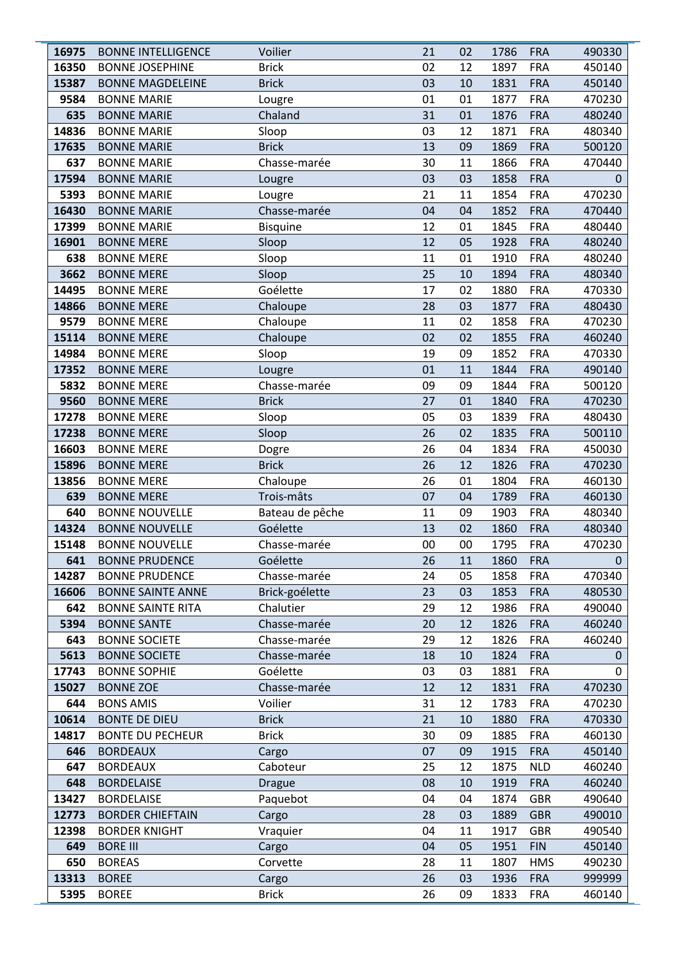| 16975         | <b>BONNE INTELLIGENCE</b>                   | Voilier                  | 21       | 02       | 1786         | <b>FRA</b>               | 490330           |
|---------------|---------------------------------------------|--------------------------|----------|----------|--------------|--------------------------|------------------|
| 16350         | <b>BONNE JOSEPHINE</b>                      | <b>Brick</b>             | 02       | 12       | 1897         | <b>FRA</b>               | 450140           |
| 15387         | <b>BONNE MAGDELEINE</b>                     | <b>Brick</b>             | 03       | 10       | 1831         | <b>FRA</b>               | 450140           |
| 9584          | <b>BONNE MARIE</b>                          | Lougre                   | 01       | 01       | 1877         | <b>FRA</b>               | 470230           |
| 635           | <b>BONNE MARIE</b>                          | Chaland                  | 31       | 01       | 1876         | <b>FRA</b>               | 480240           |
| 14836         | <b>BONNE MARIE</b>                          | Sloop                    | 03       | 12       | 1871         | <b>FRA</b>               | 480340           |
| 17635         | <b>BONNE MARIE</b>                          | <b>Brick</b>             | 13       | 09       | 1869         | <b>FRA</b>               | 500120           |
| 637           | <b>BONNE MARIE</b>                          | Chasse-marée             | 30       | 11       | 1866         | <b>FRA</b>               | 470440           |
| 17594         | <b>BONNE MARIE</b>                          | Lougre                   | 03       | 03       | 1858         | <b>FRA</b>               | 0                |
| 5393          | <b>BONNE MARIE</b>                          | Lougre                   | 21       | 11       | 1854         | <b>FRA</b>               | 470230           |
| 16430         | <b>BONNE MARIE</b>                          | Chasse-marée             | 04       | 04       | 1852         | <b>FRA</b>               | 470440           |
| 17399         | <b>BONNE MARIE</b>                          | <b>Bisquine</b>          | 12       | 01       | 1845         | <b>FRA</b>               | 480440           |
| 16901         | <b>BONNE MERE</b>                           | Sloop                    | 12       | 05       | 1928         | <b>FRA</b>               | 480240           |
| 638           | <b>BONNE MERE</b>                           | Sloop                    | 11       | 01       | 1910         | <b>FRA</b>               | 480240           |
| 3662          | <b>BONNE MERE</b>                           | Sloop                    | 25       | 10       | 1894         | <b>FRA</b>               | 480340           |
| 14495         | <b>BONNE MERE</b>                           | Goélette                 | 17       | 02       | 1880         | <b>FRA</b>               | 470330           |
| 14866         | <b>BONNE MERE</b>                           | Chaloupe                 | 28       | 03       | 1877         | <b>FRA</b>               | 480430           |
| 9579          | <b>BONNE MERE</b>                           | Chaloupe                 | 11       | 02       | 1858         | <b>FRA</b>               | 470230           |
| 15114         | <b>BONNE MERE</b>                           | Chaloupe                 | 02       | 02       | 1855         | <b>FRA</b>               | 460240           |
| 14984         | <b>BONNE MERE</b>                           | Sloop                    | 19       | 09       | 1852         | <b>FRA</b>               | 470330           |
| 17352         | <b>BONNE MERE</b>                           | Lougre                   | 01       | 11       | 1844         | <b>FRA</b>               | 490140           |
| 5832          | <b>BONNE MERE</b>                           | Chasse-marée             | 09       | 09       | 1844         | <b>FRA</b>               | 500120           |
| 9560          | <b>BONNE MERE</b>                           | <b>Brick</b>             | 27       | 01       | 1840         | <b>FRA</b>               | 470230           |
| 17278         | <b>BONNE MERE</b>                           | Sloop                    | 05       | 03       | 1839         | <b>FRA</b>               | 480430           |
| 17238         | <b>BONNE MERE</b>                           | Sloop                    | 26       | 02       | 1835         | <b>FRA</b>               | 500110           |
| 16603         | <b>BONNE MERE</b>                           | Dogre                    | 26       | 04       | 1834         | <b>FRA</b>               | 450030           |
| 15896         | <b>BONNE MERE</b>                           | <b>Brick</b>             | 26       | 12       | 1826         | <b>FRA</b>               | 470230           |
| 13856         | <b>BONNE MERE</b>                           | Chaloupe                 | 26       | 01       | 1804         | <b>FRA</b>               | 460130           |
| 639           | <b>BONNE MERE</b>                           | Trois-mâts               | 07       | 04       | 1789         | <b>FRA</b>               | 460130           |
| 640           | <b>BONNE NOUVELLE</b>                       | Bateau de pêche          | 11       | 09       | 1903         | <b>FRA</b>               | 480340           |
| 14324         | <b>BONNE NOUVELLE</b>                       | Goélette                 | 13       | 02       | 1860         | <b>FRA</b>               | 480340           |
| 15148         | <b>BONNE NOUVELLE</b>                       | Chasse-marée             | 00       | 00       | 1795         | <b>FRA</b>               | 470230           |
| 641           | <b>BONNE PRUDENCE</b>                       | Goélette                 | 26       | 11       | 1860         | <b>FRA</b>               | 0                |
| 14287         | <b>BONNE PRUDENCE</b>                       | Chasse-marée             | 24       | 05       | 1858         | <b>FRA</b>               | 470340           |
| 16606         | <b>BONNE SAINTE ANNE</b>                    | Brick-goélette           | 23       | 03       | 1853         | <b>FRA</b>               | 480530           |
| 642           | <b>BONNE SAINTE RITA</b>                    | Chalutier                | 29       | 12       | 1986         | <b>FRA</b>               | 490040           |
| 5394          | <b>BONNE SANTE</b>                          | Chasse-marée             | 20       | 12       | 1826         | <b>FRA</b>               | 460240           |
| 643           | <b>BONNE SOCIETE</b>                        | Chasse-marée             | 29       | 12       | 1826         | <b>FRA</b>               | 460240           |
| 5613<br>17743 | <b>BONNE SOCIETE</b><br><b>BONNE SOPHIE</b> | Chasse-marée<br>Goélette | 18<br>03 | 10       | 1824         | <b>FRA</b><br><b>FRA</b> | 0<br>0           |
|               | <b>BONNE ZOE</b>                            | Chasse-marée             | 12       | 03       | 1881         |                          |                  |
| 15027<br>644  | <b>BONS AMIS</b>                            | Voilier                  | 31       | 12<br>12 | 1831<br>1783 | <b>FRA</b><br><b>FRA</b> | 470230<br>470230 |
| 10614         | <b>BONTE DE DIEU</b>                        | <b>Brick</b>             | 21       | 10       | 1880         | <b>FRA</b>               | 470330           |
| 14817         | <b>BONTE DU PECHEUR</b>                     | <b>Brick</b>             | 30       | 09       | 1885         | <b>FRA</b>               | 460130           |
| 646           | <b>BORDEAUX</b>                             | Cargo                    | 07       | 09       | 1915         | <b>FRA</b>               | 450140           |
| 647           | <b>BORDEAUX</b>                             | Caboteur                 | 25       | 12       | 1875         | <b>NLD</b>               | 460240           |
| 648           | <b>BORDELAISE</b>                           | <b>Drague</b>            | 08       | 10       | 1919         | <b>FRA</b>               | 460240           |
| 13427         | <b>BORDELAISE</b>                           | Paquebot                 | 04       | 04       | 1874         | GBR                      | 490640           |
| 12773         | <b>BORDER CHIEFTAIN</b>                     | Cargo                    | 28       | 03       | 1889         | <b>GBR</b>               | 490010           |
| 12398         | <b>BORDER KNIGHT</b>                        | Vraquier                 | 04       | 11       | 1917         | <b>GBR</b>               | 490540           |
| 649           | <b>BORE III</b>                             | Cargo                    | 04       | 05       | 1951         | <b>FIN</b>               | 450140           |
| 650           | <b>BOREAS</b>                               | Corvette                 | 28       | 11       | 1807         | <b>HMS</b>               | 490230           |
| 13313         | <b>BOREE</b>                                | Cargo                    | 26       | 03       | 1936         | <b>FRA</b>               | 999999           |
| 5395          | <b>BOREE</b>                                | <b>Brick</b>             | 26       | 09       | 1833         | <b>FRA</b>               | 460140           |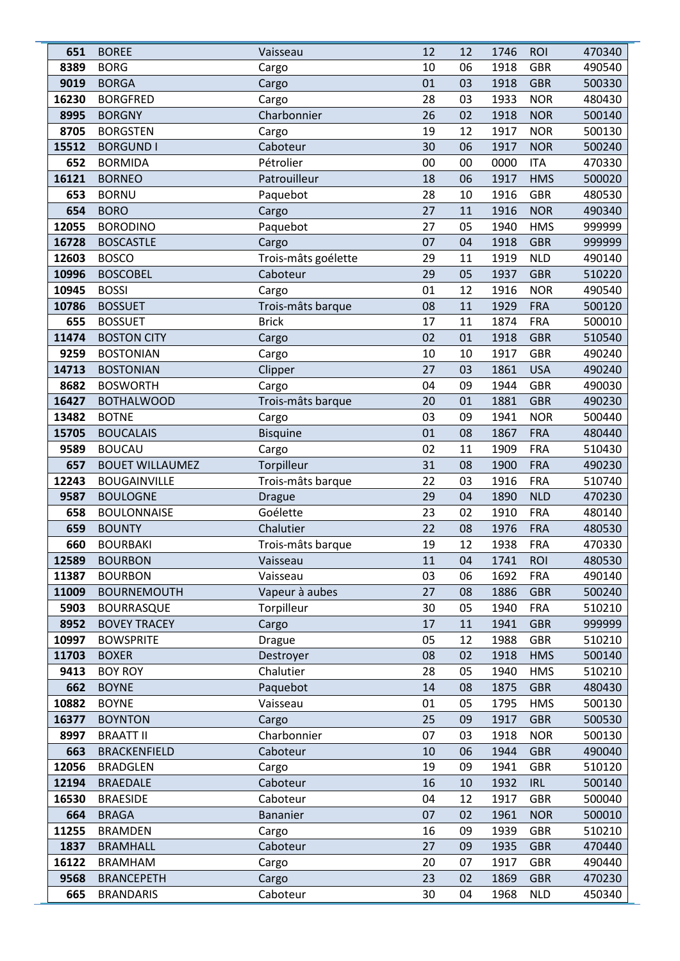| 651            | <b>BOREE</b>                   | Vaisseau             | 12       | 12       | 1746         | <b>ROI</b>               | 470340           |
|----------------|--------------------------------|----------------------|----------|----------|--------------|--------------------------|------------------|
| 8389           | <b>BORG</b>                    | Cargo                | 10       | 06       | 1918         | <b>GBR</b>               | 490540           |
| 9019           | <b>BORGA</b>                   | Cargo                | 01       | 03       | 1918         | <b>GBR</b>               | 500330           |
| 16230          | <b>BORGFRED</b>                | Cargo                | 28       | 03       | 1933         | <b>NOR</b>               | 480430           |
| 8995           | <b>BORGNY</b>                  | Charbonnier          | 26       | 02       | 1918         | <b>NOR</b>               | 500140           |
| 8705           | <b>BORGSTEN</b>                | Cargo                | 19       | 12       | 1917         | <b>NOR</b>               | 500130           |
| 15512          | <b>BORGUND I</b>               | Caboteur             | 30       | 06       | 1917         | <b>NOR</b>               | 500240           |
| 652            | <b>BORMIDA</b>                 | Pétrolier            | 00       | 00       | 0000         | <b>ITA</b>               | 470330           |
| 16121          | <b>BORNEO</b>                  | Patrouilleur         | 18       | 06       | 1917         | <b>HMS</b>               | 500020           |
| 653            | <b>BORNU</b>                   | Paquebot             | 28       | 10       | 1916         | <b>GBR</b>               | 480530           |
| 654            | <b>BORO</b>                    | Cargo                | 27       | 11       | 1916         | <b>NOR</b>               | 490340           |
| 12055          | <b>BORODINO</b>                | Paquebot             | 27       | 05       | 1940         | <b>HMS</b>               | 999999           |
| 16728          | <b>BOSCASTLE</b>               | Cargo                | 07       | 04       | 1918         | <b>GBR</b>               | 999999           |
| 12603          | <b>BOSCO</b>                   | Trois-mâts goélette  | 29       | 11       | 1919         | <b>NLD</b>               | 490140           |
| 10996          | <b>BOSCOBEL</b>                | Caboteur             | 29       | 05       | 1937         | <b>GBR</b>               | 510220           |
| 10945          | <b>BOSSI</b>                   | Cargo                | 01       | 12       | 1916         | <b>NOR</b>               | 490540           |
| 10786          | <b>BOSSUET</b>                 | Trois-mâts barque    | 08       | 11       | 1929         | <b>FRA</b>               | 500120           |
| 655            | <b>BOSSUET</b>                 | <b>Brick</b>         | 17       | 11       | 1874         | <b>FRA</b>               | 500010           |
| 11474          | <b>BOSTON CITY</b>             | Cargo                | 02       | 01       | 1918         | <b>GBR</b>               | 510540           |
| 9259           | <b>BOSTONIAN</b>               | Cargo                | 10       | 10       | 1917         | <b>GBR</b>               | 490240           |
| 14713          | <b>BOSTONIAN</b>               | Clipper              | 27       | 03       | 1861         | <b>USA</b>               | 490240           |
| 8682           | <b>BOSWORTH</b>                | Cargo                | 04       | 09       | 1944         | <b>GBR</b>               | 490030           |
| 16427          | <b>BOTHALWOOD</b>              | Trois-mâts barque    | 20       | 01       | 1881         | <b>GBR</b>               | 490230           |
| 13482          | <b>BOTNE</b>                   | Cargo                | 03       | 09       | 1941         | <b>NOR</b>               | 500440           |
| 15705          | <b>BOUCALAIS</b>               | <b>Bisquine</b>      | 01       | 08       | 1867         | <b>FRA</b>               | 480440           |
| 9589           | <b>BOUCAU</b>                  | Cargo                | 02       | 11       | 1909         | <b>FRA</b>               | 510430           |
| 657            | <b>BOUET WILLAUMEZ</b>         | Torpilleur           | 31       | 08       | 1900         | <b>FRA</b>               | 490230           |
| 12243          | <b>BOUGAINVILLE</b>            | Trois-mâts barque    | 22       | 03       | 1916         | <b>FRA</b>               | 510740           |
| 9587           | <b>BOULOGNE</b>                | <b>Drague</b>        | 29       | 04       | 1890         | <b>NLD</b>               | 470230           |
| 658            | <b>BOULONNAISE</b>             | Goélette             | 23       | 02       | 1910         | <b>FRA</b>               | 480140           |
| 659            | <b>BOUNTY</b>                  | Chalutier            | 22       | 08       | 1976         | <b>FRA</b>               | 480530           |
| 660            | <b>BOURBAKI</b>                | Trois-mâts barque    | 19       | 12       | 1938         | <b>FRA</b>               | 470330           |
| 12589          | <b>BOURBON</b>                 | Vaisseau             | 11       | 04       | 1741         | <b>ROI</b>               | 480530           |
| 11387          | <b>BOURBON</b>                 | Vaisseau             | 03       | 06       | 1692         | <b>FRA</b>               | 490140           |
| 11009          | <b>BOURNEMOUTH</b>             | Vapeur à aubes       | 27       | 08       | 1886         | <b>GBR</b>               | 500240           |
| 5903           | <b>BOURRASQUE</b>              | Torpilleur           | 30       | 05       | 1940         | <b>FRA</b>               | 510210           |
| 8952           | <b>BOVEY TRACEY</b>            | Cargo                | 17       | 11       | 1941         | <b>GBR</b>               | 999999           |
| 10997          | <b>BOWSPRITE</b>               | <b>Drague</b>        | 05       | 12       | 1988         | GBR                      | 510210           |
| 11703          | <b>BOXER</b>                   | Destroyer            | 08       | 02       | 1918         | <b>HMS</b>               | 500140           |
| 9413           | <b>BOY ROY</b>                 | Chalutier            | 28       | 05       | 1940         | <b>HMS</b>               | 510210           |
| 662            | <b>BOYNE</b>                   | Paquebot             | 14       | 08       | 1875         | <b>GBR</b>               | 480430           |
| 10882<br>16377 | <b>BOYNE</b><br><b>BOYNTON</b> | Vaisseau<br>Cargo    | 01<br>25 | 05<br>09 | 1795<br>1917 | <b>HMS</b><br><b>GBR</b> | 500130<br>500530 |
| 8997           | <b>BRAATT II</b>               | Charbonnier          | 07       | 03       | 1918         | <b>NOR</b>               | 500130           |
| 663            | <b>BRACKENFIELD</b>            | Caboteur             | 10       | 06       | 1944         | <b>GBR</b>               | 490040           |
| 12056          | <b>BRADGLEN</b>                |                      | 19       | 09       | 1941         | <b>GBR</b>               |                  |
| 12194          | <b>BRAEDALE</b>                | Cargo                | 16       |          |              | <b>IRL</b>               | 510120           |
| 16530          | <b>BRAESIDE</b>                | Caboteur<br>Caboteur | 04       | 10<br>12 | 1932<br>1917 | <b>GBR</b>               | 500140<br>500040 |
| 664            | <b>BRAGA</b>                   | Bananier             | 07       | 02       | 1961         | <b>NOR</b>               | 500010           |
| 11255          | <b>BRAMDEN</b>                 |                      | 16       | 09       | 1939         | <b>GBR</b>               | 510210           |
| 1837           | <b>BRAMHALL</b>                | Cargo<br>Caboteur    | 27       | 09       | 1935         | <b>GBR</b>               | 470440           |
| 16122          | <b>BRAMHAM</b>                 |                      | 20       | 07       | 1917         | <b>GBR</b>               | 490440           |
| 9568           | <b>BRANCEPETH</b>              | Cargo                | 23       | 02       | 1869         | <b>GBR</b>               |                  |
| 665            |                                | Cargo                | 30       | 04       |              |                          | 470230<br>450340 |
|                | <b>BRANDARIS</b>               | Caboteur             |          |          | 1968         | <b>NLD</b>               |                  |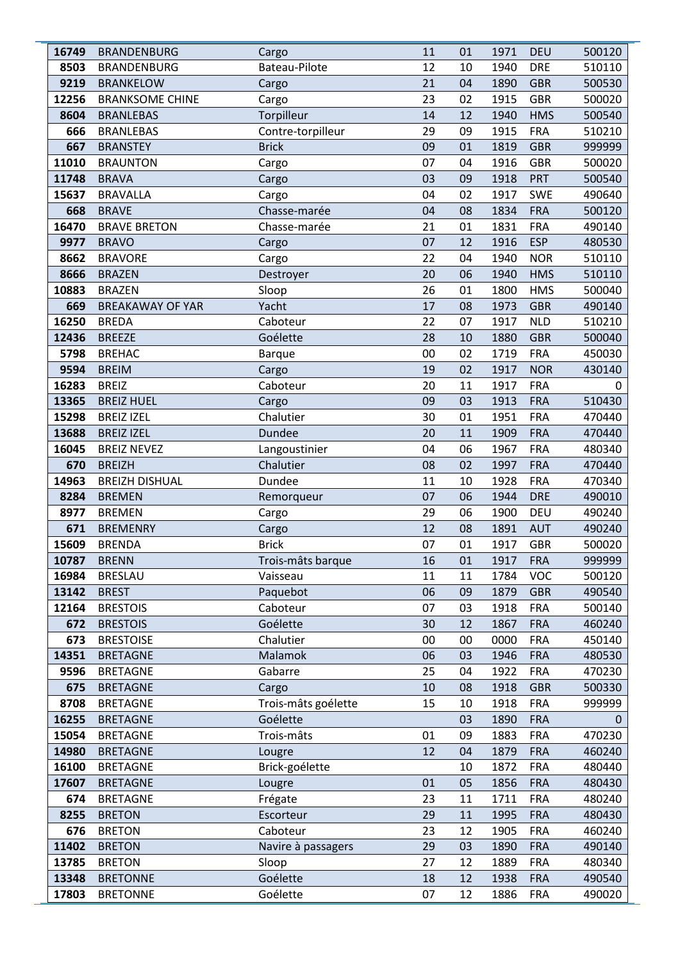| 16749 | <b>BRANDENBURG</b>      | Cargo               | 11 | 01 | 1971 | <b>DEU</b> | 500120 |
|-------|-------------------------|---------------------|----|----|------|------------|--------|
| 8503  | <b>BRANDENBURG</b>      | Bateau-Pilote       | 12 | 10 | 1940 | <b>DRE</b> | 510110 |
| 9219  | <b>BRANKELOW</b>        | Cargo               | 21 | 04 | 1890 | <b>GBR</b> | 500530 |
| 12256 | <b>BRANKSOME CHINE</b>  | Cargo               | 23 | 02 | 1915 | <b>GBR</b> | 500020 |
| 8604  | <b>BRANLEBAS</b>        | Torpilleur          | 14 | 12 | 1940 | <b>HMS</b> | 500540 |
| 666   | <b>BRANLEBAS</b>        | Contre-torpilleur   | 29 | 09 | 1915 | <b>FRA</b> | 510210 |
| 667   | <b>BRANSTEY</b>         | <b>Brick</b>        | 09 | 01 | 1819 | <b>GBR</b> | 999999 |
| 11010 | <b>BRAUNTON</b>         | Cargo               | 07 | 04 | 1916 | <b>GBR</b> | 500020 |
| 11748 | <b>BRAVA</b>            | Cargo               | 03 | 09 | 1918 | <b>PRT</b> | 500540 |
| 15637 | <b>BRAVALLA</b>         | Cargo               | 04 | 02 | 1917 | <b>SWE</b> | 490640 |
| 668   | <b>BRAVE</b>            | Chasse-marée        | 04 | 08 | 1834 | <b>FRA</b> | 500120 |
| 16470 | <b>BRAVE BRETON</b>     | Chasse-marée        | 21 | 01 | 1831 | <b>FRA</b> | 490140 |
| 9977  | <b>BRAVO</b>            | Cargo               | 07 | 12 | 1916 | <b>ESP</b> | 480530 |
| 8662  | <b>BRAVORE</b>          | Cargo               | 22 | 04 | 1940 | <b>NOR</b> | 510110 |
| 8666  | <b>BRAZEN</b>           | Destroyer           | 20 | 06 | 1940 | <b>HMS</b> | 510110 |
| 10883 | <b>BRAZEN</b>           | Sloop               | 26 | 01 | 1800 | <b>HMS</b> | 500040 |
| 669   | <b>BREAKAWAY OF YAR</b> | Yacht               | 17 | 08 | 1973 | <b>GBR</b> | 490140 |
| 16250 | <b>BREDA</b>            | Caboteur            | 22 | 07 | 1917 | <b>NLD</b> | 510210 |
| 12436 | <b>BREEZE</b>           | Goélette            | 28 | 10 | 1880 | <b>GBR</b> | 500040 |
| 5798  | <b>BREHAC</b>           | <b>Barque</b>       | 00 | 02 | 1719 | <b>FRA</b> | 450030 |
| 9594  | <b>BREIM</b>            | Cargo               | 19 | 02 | 1917 | <b>NOR</b> | 430140 |
| 16283 | <b>BREIZ</b>            | Caboteur            | 20 | 11 | 1917 | <b>FRA</b> | 0      |
| 13365 | <b>BREIZ HUEL</b>       | Cargo               | 09 | 03 | 1913 | <b>FRA</b> | 510430 |
| 15298 | <b>BREIZ IZEL</b>       | Chalutier           | 30 | 01 | 1951 | <b>FRA</b> | 470440 |
| 13688 | <b>BREIZ IZEL</b>       | Dundee              | 20 | 11 | 1909 | <b>FRA</b> | 470440 |
| 16045 | <b>BREIZ NEVEZ</b>      | Langoustinier       | 04 | 06 | 1967 | <b>FRA</b> | 480340 |
| 670   | <b>BREIZH</b>           | Chalutier           | 08 | 02 | 1997 | <b>FRA</b> | 470440 |
| 14963 | <b>BREIZH DISHUAL</b>   | Dundee              | 11 | 10 | 1928 | <b>FRA</b> | 470340 |
| 8284  | <b>BREMEN</b>           | Remorqueur          | 07 | 06 | 1944 | <b>DRE</b> | 490010 |
| 8977  | <b>BREMEN</b>           | Cargo               | 29 | 06 | 1900 | <b>DEU</b> | 490240 |
| 671   | <b>BREMENRY</b>         | Cargo               | 12 | 08 | 1891 | <b>AUT</b> | 490240 |
| 15609 | <b>BRENDA</b>           | <b>Brick</b>        | 07 | 01 | 1917 | <b>GBR</b> | 500020 |
| 10787 | <b>BRENN</b>            | Trois-mâts barque   | 16 | 01 | 1917 | <b>FRA</b> | 999999 |
| 16984 | <b>BRESLAU</b>          | Vaisseau            | 11 | 11 | 1784 | <b>VOC</b> | 500120 |
| 13142 | <b>BREST</b>            | Paquebot            | 06 | 09 | 1879 | <b>GBR</b> | 490540 |
| 12164 | <b>BRESTOIS</b>         | Caboteur            | 07 | 03 | 1918 | <b>FRA</b> | 500140 |
| 672   | <b>BRESTOIS</b>         | Goélette            | 30 | 12 | 1867 | <b>FRA</b> | 460240 |
| 673   | <b>BRESTOISE</b>        | Chalutier           | 00 | 00 | 0000 | <b>FRA</b> | 450140 |
| 14351 | <b>BRETAGNE</b>         | Malamok             | 06 | 03 | 1946 | <b>FRA</b> | 480530 |
| 9596  | <b>BRETAGNE</b>         | Gabarre             | 25 | 04 | 1922 | <b>FRA</b> | 470230 |
| 675   | <b>BRETAGNE</b>         | Cargo               | 10 | 08 | 1918 | <b>GBR</b> | 500330 |
| 8708  | <b>BRETAGNE</b>         | Trois-mâts goélette | 15 | 10 | 1918 | <b>FRA</b> | 999999 |
| 16255 | <b>BRETAGNE</b>         | Goélette            |    | 03 | 1890 | <b>FRA</b> | 0      |
| 15054 | <b>BRETAGNE</b>         | Trois-mâts          | 01 | 09 | 1883 | <b>FRA</b> | 470230 |
| 14980 | <b>BRETAGNE</b>         | Lougre              | 12 | 04 | 1879 | <b>FRA</b> | 460240 |
| 16100 | <b>BRETAGNE</b>         | Brick-goélette      |    | 10 | 1872 | <b>FRA</b> | 480440 |
| 17607 | <b>BRETAGNE</b>         | Lougre              | 01 | 05 | 1856 | <b>FRA</b> | 480430 |
| 674   | <b>BRETAGNE</b>         | Frégate             | 23 | 11 | 1711 | <b>FRA</b> | 480240 |
| 8255  | <b>BRETON</b>           | Escorteur           | 29 | 11 | 1995 | <b>FRA</b> | 480430 |
| 676   | <b>BRETON</b>           | Caboteur            | 23 | 12 | 1905 | <b>FRA</b> | 460240 |
| 11402 | <b>BRETON</b>           | Navire à passagers  | 29 | 03 | 1890 | <b>FRA</b> | 490140 |
| 13785 | <b>BRETON</b>           | Sloop               | 27 | 12 | 1889 | <b>FRA</b> | 480340 |
| 13348 | <b>BRETONNE</b>         | Goélette            | 18 | 12 | 1938 | <b>FRA</b> | 490540 |
| 17803 | <b>BRETONNE</b>         | Goélette            | 07 | 12 | 1886 | <b>FRA</b> | 490020 |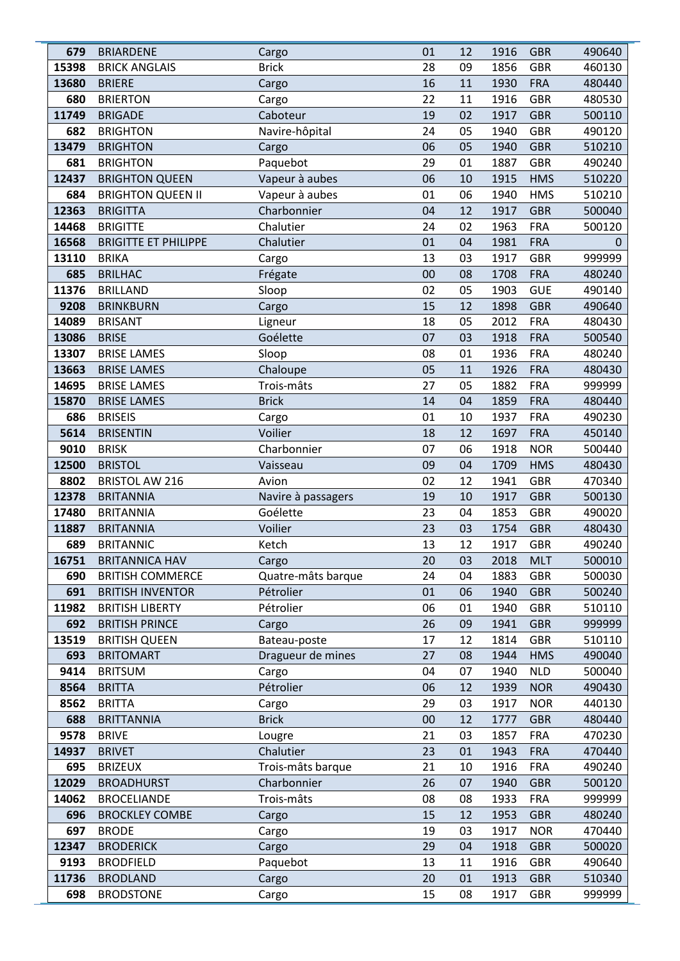| 679   | <b>BRIARDENE</b>            | Cargo              | 01       | 12 | 1916 | <b>GBR</b> | 490640 |
|-------|-----------------------------|--------------------|----------|----|------|------------|--------|
| 15398 | <b>BRICK ANGLAIS</b>        | <b>Brick</b>       | 28       | 09 | 1856 | <b>GBR</b> | 460130 |
| 13680 | <b>BRIERE</b>               | Cargo              | 16       | 11 | 1930 | <b>FRA</b> | 480440 |
| 680   | <b>BRIERTON</b>             | Cargo              | 22       | 11 | 1916 | <b>GBR</b> | 480530 |
| 11749 | <b>BRIGADE</b>              | Caboteur           | 19       | 02 | 1917 | <b>GBR</b> | 500110 |
| 682   | <b>BRIGHTON</b>             | Navire-hôpital     | 24       | 05 | 1940 | <b>GBR</b> | 490120 |
| 13479 | <b>BRIGHTON</b>             | Cargo              | 06       | 05 | 1940 | <b>GBR</b> | 510210 |
| 681   | <b>BRIGHTON</b>             | Paquebot           | 29       | 01 | 1887 | <b>GBR</b> | 490240 |
| 12437 | <b>BRIGHTON QUEEN</b>       | Vapeur à aubes     | 06       | 10 | 1915 | <b>HMS</b> | 510220 |
| 684   | <b>BRIGHTON QUEEN II</b>    | Vapeur à aubes     | 01       | 06 | 1940 | <b>HMS</b> | 510210 |
| 12363 | <b>BRIGITTA</b>             | Charbonnier        | 04       | 12 | 1917 | <b>GBR</b> | 500040 |
| 14468 | <b>BRIGITTE</b>             | Chalutier          | 24       | 02 | 1963 | <b>FRA</b> | 500120 |
| 16568 | <b>BRIGITTE ET PHILIPPE</b> | Chalutier          | 01       | 04 | 1981 | <b>FRA</b> | 0      |
| 13110 | <b>BRIKA</b>                | Cargo              | 13       | 03 | 1917 | <b>GBR</b> | 999999 |
| 685   | <b>BRILHAC</b>              | Frégate            | 00       | 08 | 1708 | <b>FRA</b> | 480240 |
| 11376 | <b>BRILLAND</b>             | Sloop              | 02       | 05 | 1903 | <b>GUE</b> | 490140 |
| 9208  | <b>BRINKBURN</b>            | Cargo              | 15       | 12 | 1898 | <b>GBR</b> | 490640 |
| 14089 | <b>BRISANT</b>              | Ligneur            | 18       | 05 | 2012 | <b>FRA</b> | 480430 |
| 13086 | <b>BRISE</b>                | Goélette           | 07       | 03 | 1918 | <b>FRA</b> | 500540 |
| 13307 | <b>BRISE LAMES</b>          | Sloop              | 08       | 01 | 1936 | <b>FRA</b> | 480240 |
| 13663 | <b>BRISE LAMES</b>          | Chaloupe           | 05       | 11 | 1926 | <b>FRA</b> | 480430 |
| 14695 | <b>BRISE LAMES</b>          | Trois-mâts         | 27       | 05 | 1882 | <b>FRA</b> | 999999 |
| 15870 | <b>BRISE LAMES</b>          | <b>Brick</b>       | 14       | 04 | 1859 | <b>FRA</b> | 480440 |
| 686   | <b>BRISEIS</b>              | Cargo              | 01       | 10 | 1937 | <b>FRA</b> | 490230 |
| 5614  | <b>BRISENTIN</b>            | Voilier            | 18       | 12 | 1697 | <b>FRA</b> | 450140 |
| 9010  | <b>BRISK</b>                | Charbonnier        | 07       | 06 | 1918 | <b>NOR</b> | 500440 |
| 12500 | <b>BRISTOL</b>              | Vaisseau           | 09       | 04 | 1709 | <b>HMS</b> | 480430 |
| 8802  | <b>BRISTOL AW 216</b>       | Avion              | 02       | 12 | 1941 | <b>GBR</b> | 470340 |
| 12378 | <b>BRITANNIA</b>            | Navire à passagers | 19       | 10 | 1917 | <b>GBR</b> | 500130 |
| 17480 | <b>BRITANNIA</b>            | Goélette           | 23       | 04 | 1853 | <b>GBR</b> | 490020 |
| 11887 | <b>BRITANNIA</b>            | Voilier            | 23       | 03 | 1754 | <b>GBR</b> | 480430 |
| 689   | <b>BRITANNIC</b>            | Ketch              | 13       | 12 | 1917 | <b>GBR</b> | 490240 |
| 16751 | <b>BRITANNICA HAV</b>       | Cargo              | 20       | 03 | 2018 | <b>MLT</b> | 500010 |
| 690   | <b>BRITISH COMMERCE</b>     | Quatre-mâts barque | 24       | 04 | 1883 | <b>GBR</b> | 500030 |
| 691   | <b>BRITISH INVENTOR</b>     | Pétrolier          | 01       | 06 | 1940 | <b>GBR</b> | 500240 |
| 11982 | <b>BRITISH LIBERTY</b>      | Pétrolier          | 06       | 01 | 1940 | <b>GBR</b> | 510110 |
| 692   | <b>BRITISH PRINCE</b>       | Cargo              | 26       | 09 | 1941 | <b>GBR</b> | 999999 |
| 13519 | <b>BRITISH QUEEN</b>        | Bateau-poste       | 17       | 12 | 1814 | <b>GBR</b> | 510110 |
| 693   | <b>BRITOMART</b>            | Dragueur de mines  | 27       | 08 | 1944 | <b>HMS</b> | 490040 |
| 9414  | <b>BRITSUM</b>              | Cargo              | 04       | 07 | 1940 | <b>NLD</b> | 500040 |
| 8564  | <b>BRITTA</b>               | Pétrolier          | 06       | 12 | 1939 | <b>NOR</b> | 490430 |
| 8562  | <b>BRITTA</b>               | Cargo              | 29       | 03 | 1917 | <b>NOR</b> | 440130 |
| 688   | <b>BRITTANNIA</b>           | <b>Brick</b>       | 00       | 12 | 1777 | <b>GBR</b> | 480440 |
| 9578  | <b>BRIVE</b>                | Lougre             | 21       | 03 | 1857 | <b>FRA</b> | 470230 |
| 14937 | <b>BRIVET</b>               | Chalutier          | 23       | 01 | 1943 | <b>FRA</b> | 470440 |
| 695   | <b>BRIZEUX</b>              | Trois-mâts barque  | 21       | 10 | 1916 | <b>FRA</b> | 490240 |
| 12029 | <b>BROADHURST</b>           | Charbonnier        | 26       | 07 | 1940 | <b>GBR</b> | 500120 |
| 14062 | <b>BROCELIANDE</b>          | Trois-mâts         | 08       | 08 | 1933 | <b>FRA</b> | 999999 |
| 696   | <b>BROCKLEY COMBE</b>       | Cargo              | 15       | 12 | 1953 | <b>GBR</b> | 480240 |
| 697   | <b>BRODE</b>                | Cargo              | 19       | 03 | 1917 | <b>NOR</b> | 470440 |
| 12347 | <b>BRODERICK</b>            | Cargo              | 29<br>13 | 04 | 1918 | <b>GBR</b> | 500020 |
| 9193  | <b>BRODFIELD</b>            | Paquebot           |          | 11 | 1916 | <b>GBR</b> | 490640 |
| 11736 | <b>BRODLAND</b>             | Cargo              | 20       | 01 | 1913 | <b>GBR</b> | 510340 |
| 698   | <b>BRODSTONE</b>            | Cargo              | 15       | 08 | 1917 | <b>GBR</b> | 999999 |